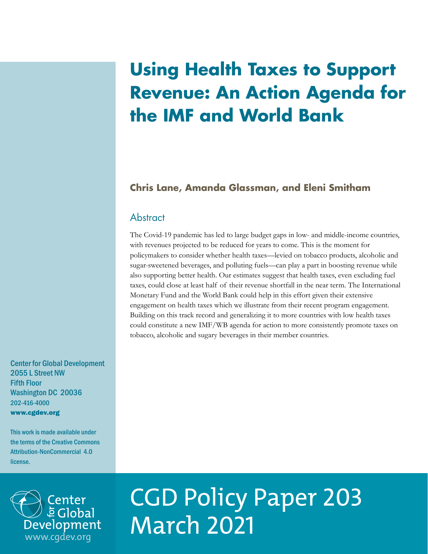## **Using Health Taxes to Support Revenue: An Action Agenda for the IMF and World Bank**

## **Chris Lane, Amanda Glassman, and Eleni Smitham**

## **Abstract**

The Covid-19 pandemic has led to large budget gaps in low- and middle-income countries, with revenues projected to be reduced for years to come. This is the moment for policymakers to consider whether health taxes—levied on tobacco products, alcoholic and sugar-sweetened beverages, and polluting fuels—can play a part in boosting revenue while also supporting better health. Our estimates suggest that health taxes, even excluding fuel taxes, could close at least half of their revenue shortfall in the near term. The International Monetary Fund and the World Bank could help in this effort given their extensive engagement on health taxes which we illustrate from their recent program engagement. Building on this track record and generalizing it to more countries with low health taxes could constitute a new IMF/WB agenda for action to more consistently promote taxes on tobacco, alcoholic and sugary beverages in their member countries.

Center for Global Development 2055 L Street NW Fifth Floor Washington DC 20036 202-416-4000 www.cgdev.org

This work is made available under the terms of the Creative Commons Attribution-NonCommercial 4.0 license.



# CGD Policy Paper 203 March 2021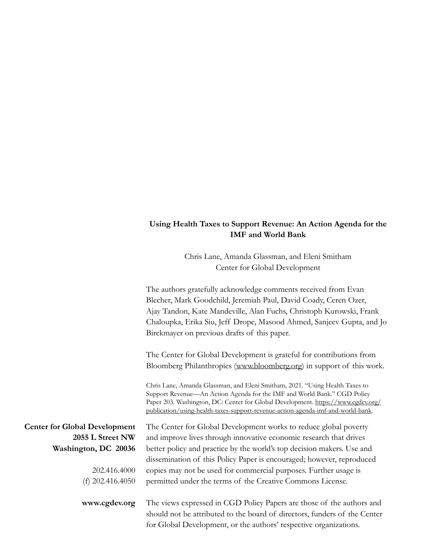#### **Using Health Taxes to Support Revenue: An Action Agenda for the IMF and World Bank**

Chris Lane, Amanda Glassman, and Eleni Smitham Center for Global Development

The authors gratefully acknowledge comments received from Evan Blecher, Mark Goodchild, Jeremiah Paul, David Coady, Ceren Ozer, Ajay Tandon, Kate Mandeville, Alan Fuchs, Christoph Kurowski, Frank Chaloupka, Erika Siu, Jeff Drope, Masood Ahmed, Sanjeev Gupta, and Jo Birckmayer on previous drafts of this paper.

The Center for Global Development is grateful for contributions from Bloomberg Philanthropies [\(www.bloomberg.org\)](http://www.bloomberg.org) in support of this work.

Chris Lane, Amanda Glassman, and Eleni Smitham, 2021. "Using Health Taxes to Support Revenue—An Action Agenda for the IMF and World Bank." CGD Policy Paper 203. Washington, DC: Center for Global Development. [https://www.cgdev.org/](https://www.cgdev.org/publication/using-health-taxes-support-revenue-action-agenda-imf-and-world-bank) [publication/using-health-taxes-support-revenue-action-agenda-imf-and-world-bank.](https://www.cgdev.org/publication/using-health-taxes-support-revenue-action-agenda-imf-and-world-bank)

The Center for Global Development works to reduce global poverty and improve lives through innovative economic research that drives better policy and practice by the world's top decision makers. Use and dissemination of this Policy Paper is encouraged; however, reproduced copies may not be used for commercial purposes. Further usage is permitted under the terms of the Creative Commons License.

**Center for Global Development 2055 L Street NW Washington, DC 20036**

> 202.416.4000 (f) 202.416.4050

**www.cgdev.org**

The views expressed in CGD Policy Papers are those of the authors and should not be attributed to the board of directors, funders of the Center for Global Development, or the authors' respective organizations.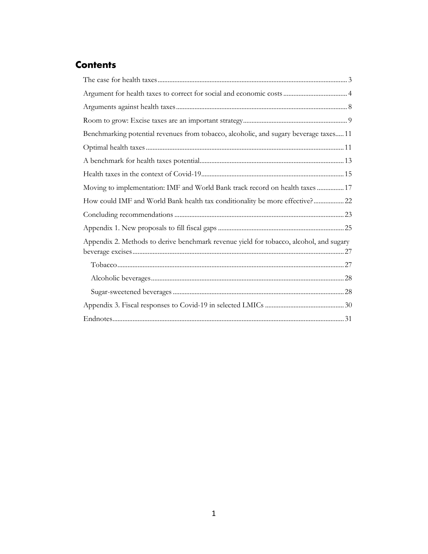## **Contents**

| Benchmarking potential revenues from tobacco, alcoholic, and sugary beverage taxes 11  |  |
|----------------------------------------------------------------------------------------|--|
|                                                                                        |  |
|                                                                                        |  |
|                                                                                        |  |
| Moving to implementation: IMF and World Bank track record on health taxes  17          |  |
| How could IMF and World Bank health tax conditionality be more effective?22            |  |
|                                                                                        |  |
|                                                                                        |  |
| Appendix 2. Methods to derive benchmark revenue yield for tobacco, alcohol, and sugary |  |
|                                                                                        |  |
|                                                                                        |  |
|                                                                                        |  |
|                                                                                        |  |
|                                                                                        |  |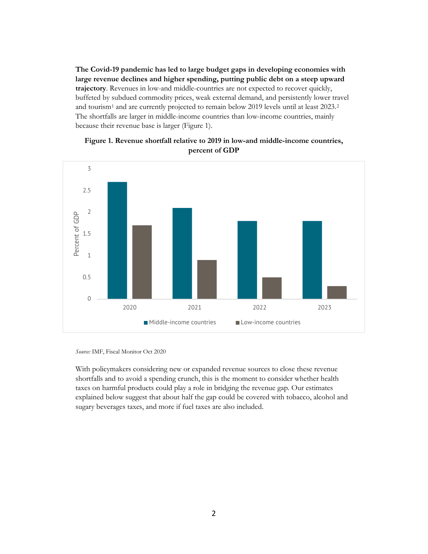**The Covid-19 pandemic has led to large budget gaps in developing economies with large revenue declines and higher spending, putting public debt on a steep upward trajectory**. Revenues in low-and middle-countries are not expected to recover quickly, buffeted by subdued commodity prices, weak external demand, and persistently lower travel and tourism[1](#page-32-1) and are currently projected to remain below 2019 levels until at least 2023.[2](#page-32-2) The shortfalls are larger in middle-income countries than low-income countries, mainly because their revenue base is larger (Figure 1).



#### **Figure 1. Revenue shortfall relative to 2019 in low-and middle-income countries, percent of GDP**

*Source:* IMF, Fiscal Monitor Oct 2020

With policymakers considering new or expanded revenue sources to close these revenue shortfalls and to avoid a spending crunch, this is the moment to consider whether health taxes on harmful products could play a role in bridging the revenue gap. Our estimates explained below suggest that about half the gap could be covered with tobacco, alcohol and sugary beverages taxes, and more if fuel taxes are also included.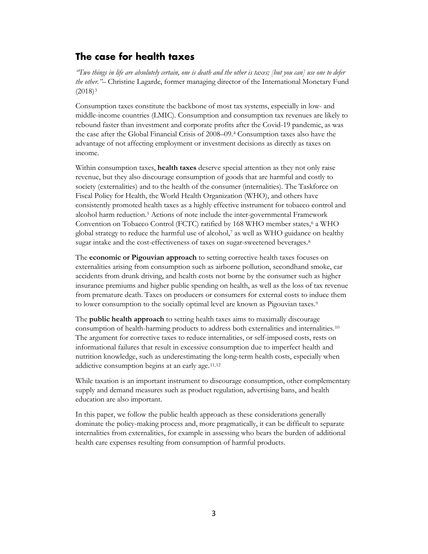## <span id="page-4-0"></span>**The case for health taxes**

*"Two things in life are absolutely certain, one is death and the other is taxes; [but you can] use one to defer the other."–* Christine Lagarde, former managing director of the International Monetary Fund  $(2018)^3$  $(2018)^3$ 

Consumption taxes constitute the backbone of most tax systems, especially in low- and middle-income countries (LMIC). Consumption and consumption tax revenues are likely to rebound faster than investment and corporate profits after the Covid-19 pandemic, as was the case after the Global Financial Crisis of 2008–09.[4](#page-32-4) Consumption taxes also have the advantage of not affecting employment or investment decisions as directly as taxes on income.

Within consumption taxes, **health taxes** deserve special attention as they not only raise revenue, but they also discourage consumption of goods that are harmful and costly to society (externalities) and to the health of the consumer (internalities). The Taskforce on Fiscal Policy for Health, the World Health Organization (WHO), and others have consistently promoted health taxes as a highly effective instrument for tobacco control and alcohol harm reduction.[5](#page-32-5) Actions of note include the inter-governmental Framework Convention on Tobacco Control (FCTC) ratified by 1[6](#page-32-6)8 WHO member states,<sup>6</sup> a WHO global strategy to reduce the harmful use of alcohol,[7](#page-32-7) as well as WHO guidance on healthy sugar intake and the cost-effectiveness of taxes on sugar-sweetened beverages.[8](#page-32-8)

The **economic or Pigouvian approach** to setting corrective health taxes focuses on externalities arising from consumption such as airborne pollution, secondhand smoke, car accidents from drunk driving, and health costs not borne by the consumer such as higher insurance premiums and higher public spending on health, as well as the loss of tax revenue from premature death. Taxes on producers or consumers for external costs to induce them to lower consumption to the socially optimal level are known as Pigouvian taxes.<sup>[9](#page-32-9)</sup>

The **public health approach** to setting health taxes aims to maximally discourage consumption of health-harming products to address both externalities and internalities.[10](#page-32-10) The argument for corrective taxes to reduce internalities, or self-imposed costs, rests on informational failures that result in excessive consumption due to imperfect health and nutrition knowledge, such as underestimating the long-term health costs, especially when addictive consumption begins at an early age.<sup>[11](#page-32-11),[12](#page-32-12)</sup>

While taxation is an important instrument to discourage consumption, other complementary supply and demand measures such as product regulation, advertising bans, and health education are also important.

In this paper, we follow the public health approach as these considerations generally dominate the policy-making process and, more pragmatically, it can be difficult to separate internalities from externalities, for example in assessing who bears the burden of additional health care expenses resulting from consumption of harmful products.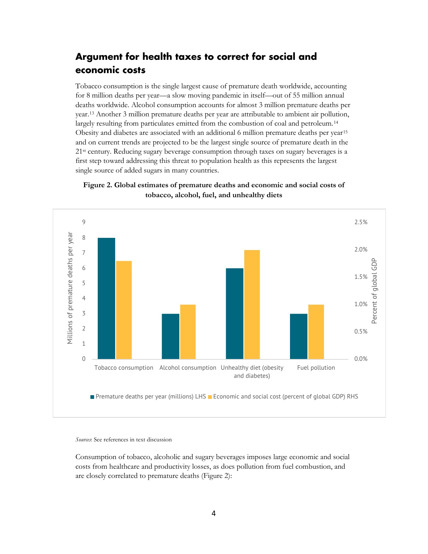## <span id="page-5-0"></span>**Argument for health taxes to correct for social and economic costs**

Tobacco consumption is the single largest cause of premature death worldwide, accounting for 8 million deaths per year—a slow moving pandemic in itself—out of 55 million annual deaths worldwide. Alcohol consumption accounts for almost 3 million premature deaths per year.[13](#page-32-13) Another 3 million premature deaths per year are attributable to ambient air pollution, largely resulting from particulates emitted from the combustion of coal and petroleum[.14](#page-32-14) Obesity and diabetes are associated with an additional 6 million premature deaths per year<sup>[15](#page-32-15)</sup> and on current trends are projected to be the largest single source of premature death in the 21st century. Reducing sugary beverage consumption through taxes on sugary beverages is a first step toward addressing this threat to population health as this represents the largest single source of added sugars in many countries.





*Sources*: See references in text discussion

Consumption of tobacco, alcoholic and sugary beverages imposes large economic and social costs from healthcare and productivity losses, as does pollution from fuel combustion, and are closely correlated to premature deaths (Figure 2):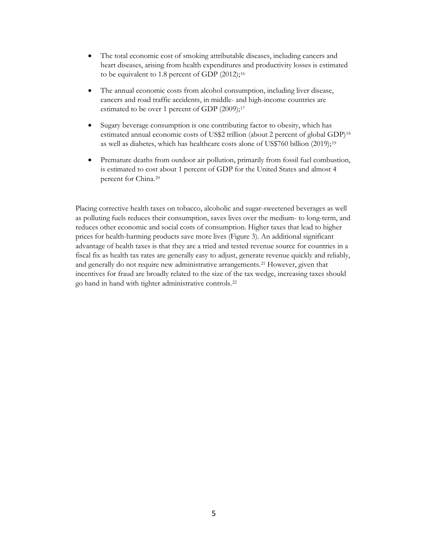- The total economic cost of smoking attributable diseases, including cancers and heart diseases, arising from health expenditures and productivity losses is estimated to be equivalent to 1.8 percent of GDP (2012);<sup>[16](#page-32-16)</sup>
- The annual economic costs from alcohol consumption, including liver disease, cancers and road traffic accidents, in middle- and high-income countries are estimated to be over 1 percent of GDP (2009);<sup>[17](#page-32-17)</sup>
- Sugary beverage consumption is one contributing factor to obesity, which has estimated annual economic costs of US\$2 trillion (about 2 percent of global GDP)[18](#page-32-18) as well as diabetes, which has healthcare costs alone of US\$760 billion (2019);[19](#page-32-19)
- Premature deaths from outdoor air pollution, primarily from fossil fuel combustion, is estimated to cost about 1 percent of GDP for the United States and almost 4 percent for China.[20](#page-32-20)

Placing corrective health taxes on tobacco, alcoholic and sugar-sweetened beverages as well as polluting fuels reduces their consumption, saves lives over the medium- to long-term, and reduces other economic and social costs of consumption. Higher taxes that lead to higher prices for health-harming products save more lives (Figure 3). An additional significant advantage of health taxes is that they are a tried and tested revenue source for countries in a fiscal fix as health tax rates are generally easy to adjust, generate revenue quickly and reliably, and generally do not require new administrative arrangements.[21](#page-32-21) However, given that incentives for fraud are broadly related to the size of the tax wedge, increasing taxes should go hand in hand with tighter administrative controls.[22](#page-32-22)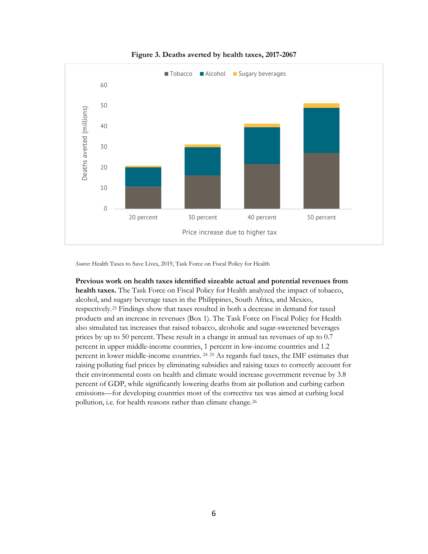

**Figure 3. Deaths averted by health taxes, 2017-2067**

*Source*: Health Taxes to Save Lives, 2019, Task Force on Fiscal Policy for Health

**Previous work on health taxes identified sizeable actual and potential revenues from health taxes.** The Task Force on Fiscal Policy for Health analyzed the impact of tobacco, alcohol, and sugary beverage taxes in the Philippines, South Africa, and Mexico, respectively.[23](#page-32-23) Findings show that taxes resulted in both a decrease in demand for taxed products and an increase in revenues (Box 1). The Task Force on Fiscal Policy for Health also simulated tax increases that raised tobacco, alcoholic and sugar-sweetened beverages prices by up to 50 percent. These result in a change in annual tax revenues of up to 0.7 percent in upper middle-income countries, 1 percent in low-income countries and 1.2 percent in lower middle-income countries. [24](#page-32-24) [25](#page-33-0) As regards fuel taxes, the IMF estimates that raising polluting fuel prices by eliminating subsidies and raising taxes to correctly account for their environmental costs on health and climate would increase government revenue by 3.8 percent of GDP, while significantly lowering deaths from air pollution and curbing carbon emissions—for developing countries most of the corrective tax was aimed at curbing local pollution, i.e. for health reasons rather than climate change.<sup>[26](#page-33-1)</sup>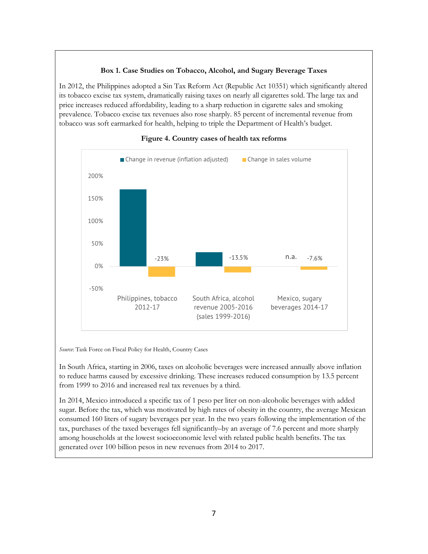#### **Box 1. Case Studies on Tobacco, Alcohol, and Sugary Beverage Taxes**

In 2012, the Philippines adopted a Sin Tax Reform Act (Republic Act 10351) which significantly altered its tobacco excise tax system, dramatically raising taxes on nearly all cigarettes sold. The large tax and price increases reduced affordability, leading to a sharp reduction in cigarette sales and smoking prevalence. Tobacco excise tax revenues also rose sharply. 85 percent of incremental revenue from tobacco was soft earmarked for health, helping to triple the Department of Health's budget.



#### **Figure 4. Country cases of health tax reforms**

*Source*: Task Force on Fiscal Policy for Health, Country Cases

In South Africa, starting in 2006, taxes on alcoholic beverages were increased annually above inflation to reduce harms caused by excessive drinking. These increases reduced consumption by 13.5 percent from 1999 to 2016 and increased real tax revenues by a third.

In 2014, Mexico introduced a specific tax of 1 peso per liter on non-alcoholic beverages with added sugar. Before the tax, which was motivated by high rates of obesity in the country, the average Mexican consumed 160 liters of sugary beverages per year. In the two years following the implementation of the tax, purchases of the taxed beverages fell significantly–by an average of 7.6 percent and more sharply among households at the lowest socioeconomic level with related public health benefits. The tax generated over 100 billion pesos in new revenues from 2014 to 2017.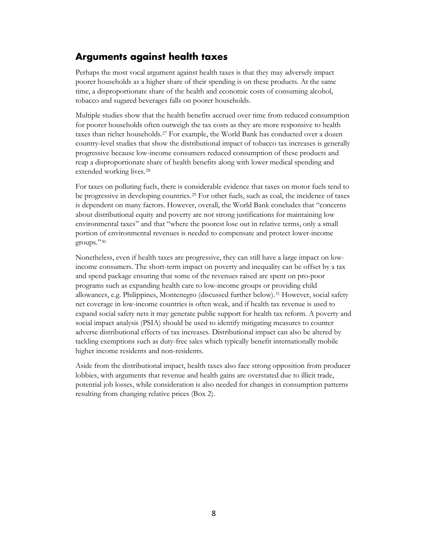## <span id="page-9-0"></span>**Arguments against health taxes**

Perhaps the most vocal argument against health taxes is that they may adversely impact poorer households as a higher share of their spending is on these products. At the same time, a disproportionate share of the health and economic costs of consuming alcohol, tobacco and sugared beverages falls on poorer households.

Multiple studies show that the health benefits accrued over time from reduced consumption for poorer households often outweigh the tax costs as they are more responsive to health taxes than richer households.[27](#page-33-2) For example, the World Bank has conducted over a dozen country-level studies that show the distributional impact of tobacco tax increases is generally progressive because low-income consumers reduced consumption of these products and reap a disproportionate share of health benefits along with lower medical spending and extended working lives.[28](#page-33-3)

For taxes on polluting fuels, there is considerable evidence that taxes on motor fuels tend to be progressive in developing countries.[29](#page-33-4) For other fuels, such as coal, the incidence of taxes is dependent on many factors. However, overall, the World Bank concludes that "concerns about distributional equity and poverty are not strong justifications for maintaining low environmental taxes" and that "where the poorest lose out in relative terms, only a small portion of environmental revenues is needed to compensate and protect lower-income groups."[30](#page-33-5)

Nonetheless, even if health taxes are progressive, they can still have a large impact on lowincome consumers. The short-term impact on poverty and inequality can be offset by a tax and spend package ensuring that some of the revenues raised are spent on pro-poor programs such as expanding health care to low-income groups or providing child allowances, e.g. Philippines, Montenegro (discussed further below).[31](#page-33-6) However, social safety net coverage in low-income countries is often weak, and if health tax revenue is used to expand social safety nets it may generate public support for health tax reform. A poverty and social impact analysis (PSIA) should be used to identify mitigating measures to counter adverse distributional effects of tax increases. Distributional impact can also be altered by tackling exemptions such as duty-free sales which typically benefit internationally mobile higher income residents and non-residents.

Aside from the distributional impact, health taxes also face strong opposition from producer lobbies, with arguments that revenue and health gains are overstated due to illicit trade, potential job losses, while consideration is also needed for changes in consumption patterns resulting from changing relative prices (Box 2).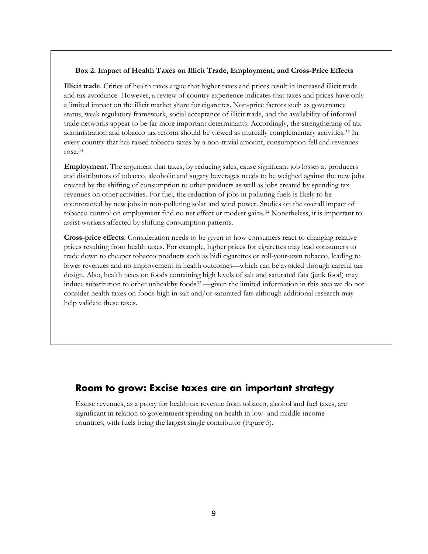#### **Box 2. Impact of Health Taxes on Illicit Trade, Employment, and Cross-Price Effects**

**Illicit trade**. Critics of health taxes argue that higher taxes and prices result in increased illicit trade and tax avoidance. However, a review of country experience indicates that taxes and prices have only a limited impact on the illicit market share for cigarettes. Non-price factors such as governance status, weak regulatory framework, social acceptance of illicit trade, and the availability of informal trade networks appear to be far more important determinants. Accordingly, the strengthening of tax administration and tobacco tax reform should be viewed as mutually complementary activities.[32](#page-33-7) In every country that has raised tobacco taxes by a non-trivial amount, consumption fell and revenues rose.[33](#page-33-8)

**Employment**. The argument that taxes, by reducing sales, cause significant job losses at producers and distributors of tobacco, alcoholic and sugary beverages needs to be weighed against the new jobs created by the shifting of consumption to other products as well as jobs created by spending tax revenues on other activities. For fuel, the reduction of jobs in polluting fuels is likely to be counteracted by new jobs in non-polluting solar and wind power. Studies on the overall impact of tobacco control on employment find no net effect or modest gains.[34](#page-33-9) Nonetheless, it is important to assist workers affected by shifting consumption patterns.

**Cross-price effects**. Consideration needs to be given to how consumers react to changing relative prices resulting from health taxes. For example, higher prices for cigarettes may lead consumers to trade down to cheaper tobacco products such as bidi cigarettes or roll-your-own tobacco, leading to lower revenues and no improvement in health outcomes—which can be avoided through careful tax design. Also, health taxes on foods containing high levels of salt and saturated fats (junk food) may induce substitution to other unhealthy foods<sup>[35](#page-33-10)</sup> —given the limited information in this area we do not consider health taxes on foods high in salt and/or saturated fats although additional research may help validate these taxes.

## <span id="page-10-0"></span>**Room to grow: Excise taxes are an important strategy**

Excise revenues, as a proxy for health tax revenue from tobacco, alcohol and fuel taxes, are significant in relation to government spending on health in low- and middle-income countries, with fuels being the largest single contributor (Figure 5).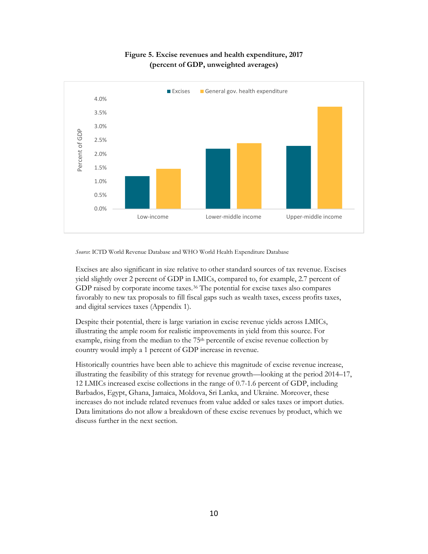

#### **Figure 5. Excise revenues and health expenditure, 2017 (percent of GDP, unweighted averages)**

*Source*: ICTD World Revenue Database and WHO World Health Expenditure Database

Excises are also significant in size relative to other standard sources of tax revenue. Excises yield slightly over 2 percent of GDP in LMICs, compared to, for example, 2.7 percent of GDP raised by corporate income taxes.<sup>36</sup> The potential for excise taxes also compares favorably to new tax proposals to fill fiscal gaps such as wealth taxes, excess profits taxes, and digital services taxes (Appendix 1).

Despite their potential, there is large variation in excise revenue yields across LMICs, illustrating the ample room for realistic improvements in yield from this source. For example, rising from the median to the 75<sup>th</sup> percentile of excise revenue collection by country would imply a 1 percent of GDP increase in revenue.

Historically countries have been able to achieve this magnitude of excise revenue increase, illustrating the feasibility of this strategy for revenue growth—looking at the period 2014–17, 12 LMICs increased excise collections in the range of 0.7-1.6 percent of GDP, including Barbados, Egypt, Ghana, Jamaica, Moldova, Sri Lanka, and Ukraine. Moreover, these increases do not include related revenues from value added or sales taxes or import duties. Data limitations do not allow a breakdown of these excise revenues by product, which we discuss further in the next section.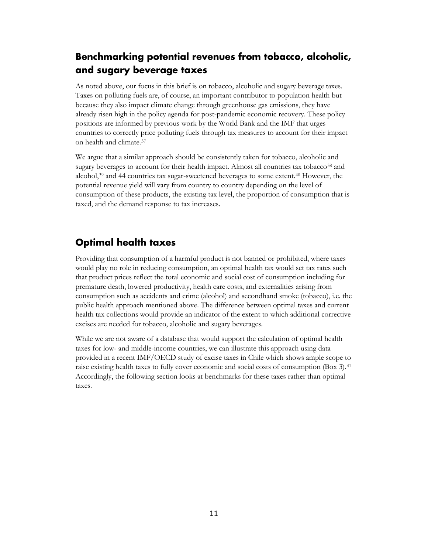## <span id="page-12-0"></span>**Benchmarking potential revenues from tobacco, alcoholic, and sugary beverage taxes**

As noted above, our focus in this brief is on tobacco, alcoholic and sugary beverage taxes. Taxes on polluting fuels are, of course, an important contributor to population health but because they also impact climate change through greenhouse gas emissions, they have already risen high in the policy agenda for post-pandemic economic recovery. These policy positions are informed by previous work by the World Bank and the IMF that urges countries to correctly price polluting fuels through tax measures to account for their impact on health and climate.[37](#page-33-12)

We argue that a similar approach should be consistently taken for tobacco, alcoholic and sugary beverages to account for their health impact. Almost all countries tax tobacco<sup>38</sup> and alcohol, $39$  and 44 countries tax sugar-sweetened beverages to some extent.<sup>[40](#page-33-15)</sup> However, the potential revenue yield will vary from country to country depending on the level of consumption of these products, the existing tax level, the proportion of consumption that is taxed, and the demand response to tax increases.

## <span id="page-12-1"></span>**Optimal health taxes**

Providing that consumption of a harmful product is not banned or prohibited, where taxes would play no role in reducing consumption, an optimal health tax would set tax rates such that product prices reflect the total economic and social cost of consumption including for premature death, lowered productivity, health care costs, and externalities arising from consumption such as accidents and crime (alcohol) and secondhand smoke (tobacco), i.e. the public health approach mentioned above. The difference between optimal taxes and current health tax collections would provide an indicator of the extent to which additional corrective excises are needed for tobacco, alcoholic and sugary beverages.

While we are not aware of a database that would support the calculation of optimal health taxes for low- and middle-income countries, we can illustrate this approach using data provided in a recent IMF/OECD study of excise taxes in Chile which shows ample scope to raise existing health taxes to fully cover economic and social costs of consumption (Box 3).[41](#page-33-16) Accordingly, the following section looks at benchmarks for these taxes rather than optimal taxes.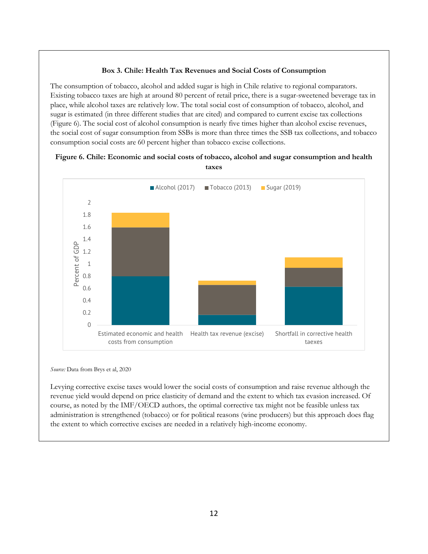#### **Box 3. Chile: Health Tax Revenues and Social Costs of Consumption**

The consumption of tobacco, alcohol and added sugar is high in Chile relative to regional comparators. Existing tobacco taxes are high at around 80 percent of retail price, there is a sugar-sweetened beverage tax in place, while alcohol taxes are relatively low. The total social cost of consumption of tobacco, alcohol, and sugar is estimated (in three different studies that are cited) and compared to current excise tax collections (Figure 6). The social cost of alcohol consumption is nearly five times higher than alcohol excise revenues, the social cost of sugar consumption from SSBs is more than three times the SSB tax collections, and tobacco consumption social costs are 60 percent higher than tobacco excise collections.



#### **Figure 6. Chile: Economic and social costs of tobacco, alcohol and sugar consumption and health taxes**

*Source:* Data from Brys et al, 2020

Levying corrective excise taxes would lower the social costs of consumption and raise revenue although the revenue yield would depend on price elasticity of demand and the extent to which tax evasion increased. Of course, as noted by the IMF/OECD authors, the optimal corrective tax might not be feasible unless tax administration is strengthened (tobacco) or for political reasons (wine producers) but this approach does flag the extent to which corrective excises are needed in a relatively high-income economy.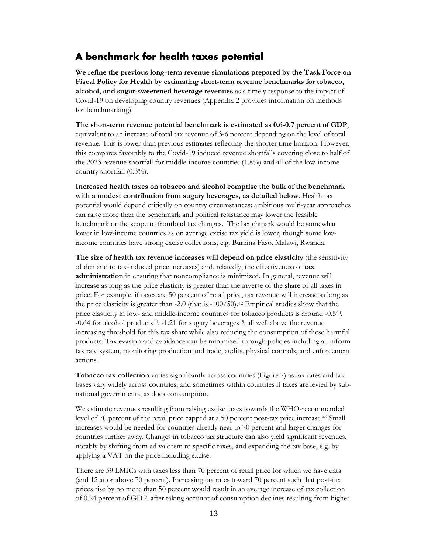#### <span id="page-14-0"></span>**A benchmark for health taxes potential**

**We refine the previous long-term revenue simulations prepared by the Task Force on Fiscal Policy for Health by estimating short-term revenue benchmarks for tobacco, alcohol, and sugar-sweetened beverage revenues** as a timely response to the impact of Covid-19 on developing country revenues (Appendix 2 provides information on methods for benchmarking).

**The short-term revenue potential benchmark is estimated as 0.6-0.7 percent of GDP**, equivalent to an increase of total tax revenue of 3-6 percent depending on the level of total revenue. This is lower than previous estimates reflecting the shorter time horizon. However, this compares favorably to the Covid-19 induced revenue shortfalls covering close to half of the 2023 revenue shortfall for middle-income countries (1.8%) and all of the low-income country shortfall (0.3%).

**Increased health taxes on tobacco and alcohol comprise the bulk of the benchmark with a modest contribution from sugary beverages, as detailed below**. Health tax potential would depend critically on country circumstances: ambitious multi-year approaches can raise more than the benchmark and political resistance may lower the feasible benchmark or the scope to frontload tax changes. The benchmark would be somewhat lower in low-income countries as on average excise tax yield is lower, though some lowincome countries have strong excise collections, e.g. Burkina Faso, Malawi, Rwanda.

**The size of health tax revenue increases will depend on price elasticity** (the sensitivity of demand to tax-induced price increases) and, relatedly, the effectiveness of **tax administration** in ensuring that noncompliance is minimized. In general, revenue will increase as long as the price elasticity is greater than the inverse of the share of all taxes in price. For example, if taxes are 50 percent of retail price, tax revenue will increase as long as the price elasticity is greater than  $-2.0$  (that is  $-100/50$ ).<sup>[42](#page-33-17)</sup> Empirical studies show that the price elasticity in low- and middle-income countries for tobacco products is around -0.5[43,](#page-33-18) -0.64 for alcohol products<sup>44</sup>, -1.21 for sugary beverages<sup>[45](#page-33-20)</sup>, all well above the revenue increasing threshold for this tax share while also reducing the consumption of these harmful products. Tax evasion and avoidance can be minimized through policies including a uniform tax rate system, monitoring production and trade, audits, physical controls, and enforcement actions.

**Tobacco tax collection** varies significantly across countries (Figure 7) as tax rates and tax bases vary widely across countries, and sometimes within countries if taxes are levied by subnational governments, as does consumption.

We estimate revenues resulting from raising excise taxes towards the WHO-recommended level of 70 percent of the retail price capped at a 50 percent post-tax price increase.[46](#page-33-21) Small increases would be needed for countries already near to 70 percent and larger changes for countries further away. Changes in tobacco tax structure can also yield significant revenues, notably by shifting from ad valorem to specific taxes, and expanding the tax base, e.g. by applying a VAT on the price including excise.

There are 59 LMICs with taxes less than 70 percent of retail price for which we have data (and 12 at or above 70 percent). Increasing tax rates toward 70 percent such that post-tax prices rise by no more than 50 percent would result in an average increase of tax collection of 0.24 percent of GDP, after taking account of consumption declines resulting from higher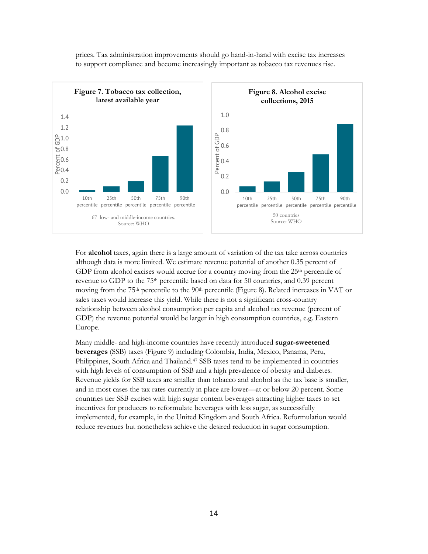

prices. Tax administration improvements should go hand-in-hand with excise tax increases to support compliance and become increasingly important as tobacco tax revenues rise.

For **alcohol** taxes, again there is a large amount of variation of the tax take across countries although data is more limited. We estimate revenue potential of another 0.35 percent of GDP from alcohol excises would accrue for a country moving from the  $25<sup>th</sup>$  percentile of revenue to GDP to the 75th percentile based on data for 50 countries, and 0.39 percent moving from the 75<sup>th</sup> percentile to the 90<sup>th</sup> percentile (Figure 8). Related increases in VAT or sales taxes would increase this yield. While there is not a significant cross-country relationship between alcohol consumption per capita and alcohol tax revenue (percent of GDP) the revenue potential would be larger in high consumption countries, e.g. Eastern Europe.

Many middle- and high-income countries have recently introduced **sugar-sweetened beverages** (SSB) taxes (Figure 9) including Colombia, India, Mexico, Panama, Peru, Philippines, South Africa and Thailand.<sup>[47](#page-33-22)</sup> SSB taxes tend to be implemented in countries with high levels of consumption of SSB and a high prevalence of obesity and diabetes. Revenue yields for SSB taxes are smaller than tobacco and alcohol as the tax base is smaller, and in most cases the tax rates currently in place are lower—at or below 20 percent. Some countries tier SSB excises with high sugar content beverages attracting higher taxes to set incentives for producers to reformulate beverages with less sugar, as successfully implemented, for example, in the United Kingdom and South Africa. Reformulation would reduce revenues but nonetheless achieve the desired reduction in sugar consumption.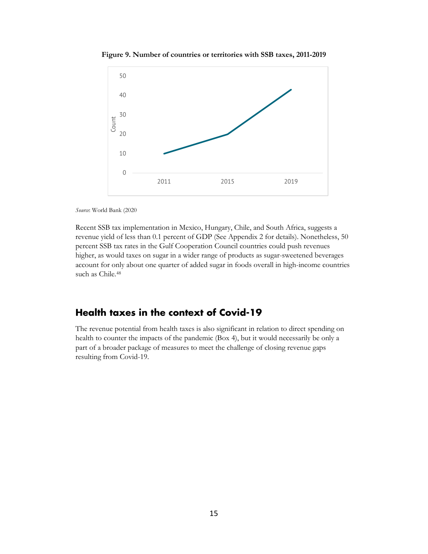

**Figure 9. Number of countries or territories with SSB taxes, 2011-2019**

*Source*: World Bank (2020

Recent SSB tax implementation in Mexico, Hungary, Chile, and South Africa, suggests a revenue yield of less than 0.1 percent of GDP (See Appendix 2 for details). Nonetheless, 50 percent SSB tax rates in the Gulf Cooperation Council countries could push revenues higher, as would taxes on sugar in a wider range of products as sugar-sweetened beverages account for only about one quarter of added sugar in foods overall in high-income countries such as Chile.<sup>[48](#page-33-23)</sup>

## <span id="page-16-0"></span>**Health taxes in the context of Covid-19**

The revenue potential from health taxes is also significant in relation to direct spending on health to counter the impacts of the pandemic (Box 4), but it would necessarily be only a part of a broader package of measures to meet the challenge of closing revenue gaps resulting from Covid-19.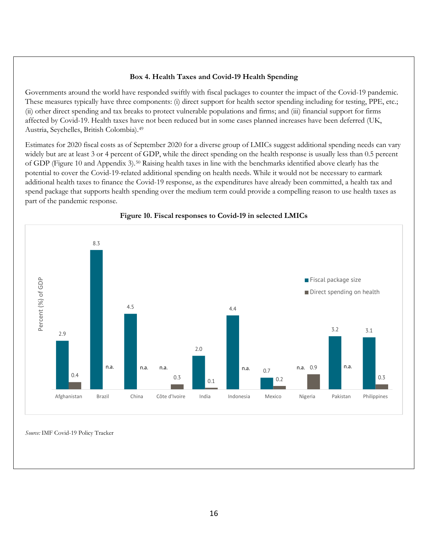#### **Box 4. Health Taxes and Covid-19 Health Spending**

Governments around the world have responded swiftly with fiscal packages to counter the impact of the Covid-19 pandemic. These measures typically have three components: (i) direct support for health sector spending including for testing, PPE, etc.; (ii) other direct spending and tax breaks to protect vulnerable populations and firms; and (iii) financial support for firms affected by Covid-19. Health taxes have not been reduced but in some cases planned increases have been deferred (UK, Austria, Seychelles, British Colombia).[49](#page-33-24)

Estimates for 2020 fiscal costs as of September 2020 for a diverse group of LMICs suggest additional spending needs can vary widely but are at least 3 or 4 percent of GDP, while the direct spending on the health response is usually less than 0.5 percent of GDP (Figure 10 and Appendix 3).[50](#page-33-25) Raising health taxes in line with the benchmarks identified above clearly has the potential to cover the Covid-19-related additional spending on health needs. While it would not be necessary to earmark additional health taxes to finance the Covid-19 response, as the expenditures have already been committed, a health tax and spend package that supports health spending over the medium term could provide a compelling reason to use health taxes as part of the pandemic response.



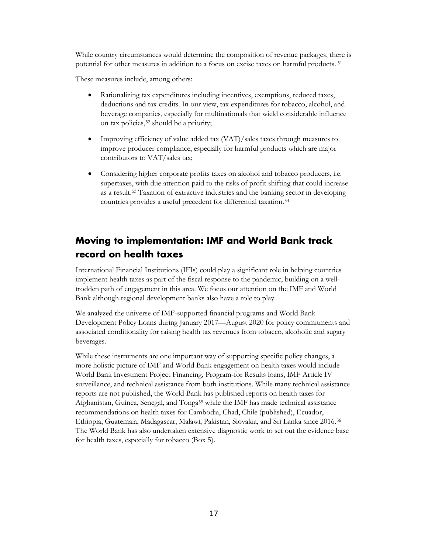While country circumstances would determine the composition of revenue packages, there is potential for other measures in addition to a focus on excise taxes on harmful products. [51](#page-34-0) 

These measures include, among others:

- Rationalizing tax expenditures including incentives, exemptions, reduced taxes, deductions and tax credits. In our view, tax expenditures for tobacco, alcohol, and beverage companies, especially for multinationals that wield considerable influence on tax policies,[52](#page-34-1) should be a priority;
- Improving efficiency of value added tax (VAT)/sales taxes through measures to improve producer compliance, especially for harmful products which are major contributors to VAT/sales tax;
- Considering higher corporate profits taxes on alcohol and tobacco producers, i.e. supertaxes, with due attention paid to the risks of profit shifting that could increase as a result.[53](#page-34-2) Taxation of extractive industries and the banking sector in developing countries provides a useful precedent for differential taxation.[54](#page-34-3)

## <span id="page-18-0"></span>**Moving to implementation: IMF and World Bank track record on health taxes**

International Financial Institutions (IFIs) could play a significant role in helping countries implement health taxes as part of the fiscal response to the pandemic, building on a welltrodden path of engagement in this area. We focus our attention on the IMF and World Bank although regional development banks also have a role to play.

We analyzed the universe of IMF-supported financial programs and World Bank Development Policy Loans during January 2017—August 2020 for policy commitments and associated conditionality for raising health tax revenues from tobacco, alcoholic and sugary beverages.

While these instruments are one important way of supporting specific policy changes, a more holistic picture of IMF and World Bank engagement on health taxes would include World Bank Investment Project Financing, Program-for Results loans, IMF Article IV surveillance, and technical assistance from both institutions. While many technical assistance reports are not published, the World Bank has published reports on health taxes for Afghanistan, Guinea, Senegal, and Tonga[55](#page-34-4) while the IMF has made technical assistance recommendations on health taxes for Cambodia, Chad, Chile (published), Ecuador, Ethiopia, Guatemala, Madagascar, Malawi, Pakistan, Slovakia, and Sri Lanka since 2016.[56](#page-34-5) The World Bank has also undertaken extensive diagnostic work to set out the evidence base for health taxes, especially for tobacco (Box 5).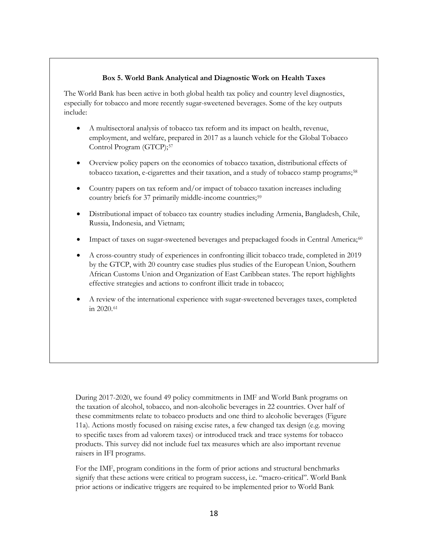#### **Box 5. World Bank Analytical and Diagnostic Work on Health Taxes**

The World Bank has been active in both global health tax policy and country level diagnostics, especially for tobacco and more recently sugar-sweetened beverages. Some of the key outputs include:

- A multisectoral analysis of tobacco tax reform and its impact on health, revenue, employment, and welfare, prepared in 2017 as a launch vehicle for the Global Tobacco Control Program (GTCP);[57](#page-34-6)
- Overview policy papers on the economics of tobacco taxation, distributional effects of tobacco taxation, e-cigarettes and their taxation, and a study of tobacco stamp programs;[58](#page-34-7)
- Country papers on tax reform and/or impact of tobacco taxation increases including country briefs for 37 primarily middle-income countries;<sup>[59](#page-34-8)</sup>
- Distributional impact of tobacco tax country studies including Armenia, Bangladesh, Chile, Russia, Indonesia, and Vietnam;
- Impact of taxes on sugar-sweetened beverages and prepackaged foods in Central America;<sup>[60](#page-34-9)</sup>
- A cross-country study of experiences in confronting illicit tobacco trade, completed in 2019 by the GTCP, with 20 country case studies plus studies of the European Union, Southern African Customs Union and Organization of East Caribbean states. The report highlights effective strategies and actions to confront illicit trade in tobacco;
- A review of the international experience with sugar-sweetened beverages taxes, completed in 2020.[61](#page-34-10)

During 2017-2020, we found 49 policy commitments in IMF and World Bank programs on the taxation of alcohol, tobacco, and non-alcoholic beverages in 22 countries. Over half of these commitments relate to tobacco products and one third to alcoholic beverages (Figure 11a). Actions mostly focused on raising excise rates, a few changed tax design (e.g. moving to specific taxes from ad valorem taxes) or introduced track and trace systems for tobacco products. This survey did not include fuel tax measures which are also important revenue raisers in IFI programs.

For the IMF, program conditions in the form of prior actions and structural benchmarks signify that these actions were critical to program success, i.e. "macro-critical". World Bank prior actions or indicative triggers are required to be implemented prior to World Bank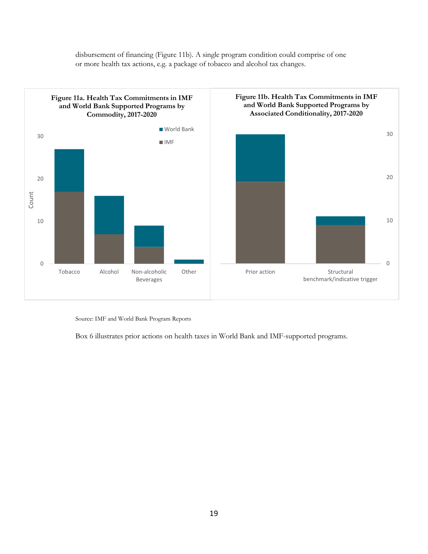

disbursement of financing (Figure 11b). A single program condition could comprise of one or more health tax actions, e.g. a package of tobacco and alcohol tax changes.

Source: IMF and World Bank Program Reports

Box 6 illustrates prior actions on health taxes in World Bank and IMF-supported programs.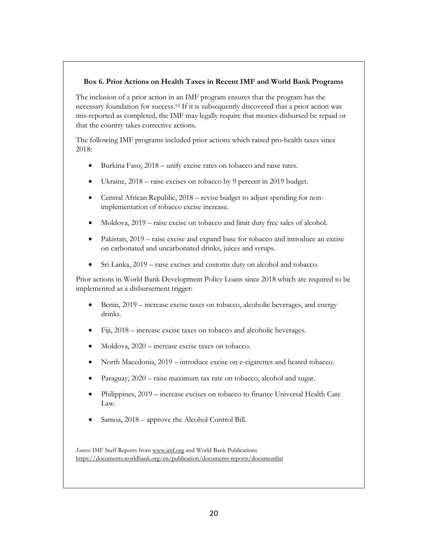#### **Box 6. Prior Actions on Health Taxes in Recent IMF and World Bank Programs**

The inclusion of a prior action in an IMF program ensures that the program has the necessary foundation for success.[62](#page-34-11) If it is subsequently discovered that a prior action was mis-reported as completed, the IMF may legally require that monies disbursed be repaid or that the country takes corrective actions.

The following IMF programs included prior actions which raised pro-health taxes since 2018:

- Burkina Faso, 2018 unify excise rates on tobacco and raise rates.
- Ukraine, 2018 raise excises on tobacco by 9 percent in 2019 budget.
- Central African Republic, 2018 revise budget to adjust spending for nonimplementation of tobacco excise increase.
- Moldova, 2019 raise excise on tobacco and limit duty free sales of alcohol.
- Pakistan, 2019 raise excise and expand base for tobacco and introduce an excise on carbonated and uncarbonated drinks, juices and syrups.
- Sri Lanka, 2019 raise excises and customs duty on alcohol and tobacco.

Prior actions in World Bank Development Policy Loans since 2018 which are required to be implemented as a disbursement trigger:

- Benin, 2019 increase excise taxes on tobacco, alcoholic beverages, and energy drinks.
- Fiji, 2018 increase excise taxes on tobacco and alcoholic beverages.
- Moldova, 2020 increase excise taxes on tobacco.
- North Macedonia, 2019 introduce excise on e-cigarettes and heated tobacco.
- Paraguay, 2020 raise maximum tax rate on tobacco, alcohol and sugar.
- Philippines, 2019 increase excises on tobacco to finance Universal Health Care Law.
- Samoa, 2018 approve the Alcohol Control Bill.

*Source:* IMF Staff Reports from [www.imf.org](http://www.imf.org/) and World Bank Publications <https://documents.worldbank.org/en/publication/documents-reports/documentlist>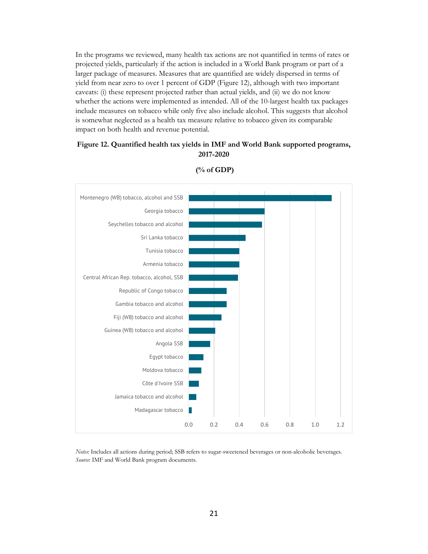In the programs we reviewed, many health tax actions are not quantified in terms of rates or projected yields, particularly if the action is included in a World Bank program or part of a larger package of measures. Measures that are quantified are widely dispersed in terms of yield from near zero to over 1 percent of GDP (Figure 12), although with two important caveats: (i) these represent projected rather than actual yields, and (ii) we do not know whether the actions were implemented as intended. All of the 10-largest health tax packages include measures on tobacco while only five also include alcohol. This suggests that alcohol is somewhat neglected as a health tax measure relative to tobacco given its comparable impact on both health and revenue potential.

#### **Figure 12. Quantified health tax yields in IMF and World Bank supported programs, 2017-2020**



**(% of GDP)**

*Notes*: Includes all actions during period; SSB refers to sugar-sweetened beverages or non-alcoholic beverages. *Source*: IMF and World Bank program documents.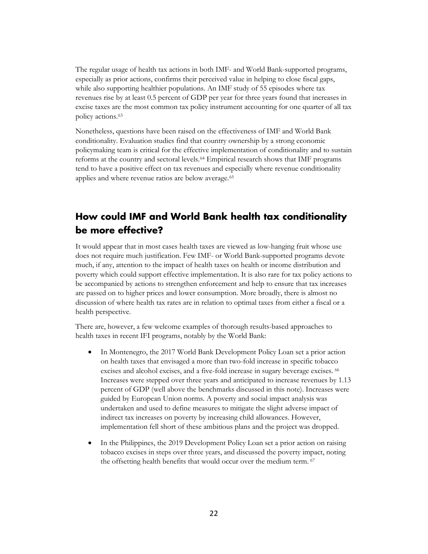The regular usage of health tax actions in both IMF- and World Bank-supported programs, especially as prior actions, confirms their perceived value in helping to close fiscal gaps, while also supporting healthier populations. An IMF study of 55 episodes where tax revenues rise by at least 0.5 percent of GDP per year for three years found that increases in excise taxes are the most common tax policy instrument accounting for one quarter of all tax policy actions.[63](#page-34-12)

Nonetheless, questions have been raised on the effectiveness of IMF and World Bank conditionality. Evaluation studies find that country ownership by a strong economic policymaking team is critical for the effective implementation of conditionality and to sustain reforms at the country and sectoral levels.[64](#page-34-13) Empirical research shows that IMF programs tend to have a positive effect on tax revenues and especially where revenue conditionality applies and where revenue ratios are below average.<sup>[65](#page-34-14)</sup>

## <span id="page-23-0"></span>**How could IMF and World Bank health tax conditionality be more effective?**

It would appear that in most cases health taxes are viewed as low-hanging fruit whose use does not require much justification. Few IMF- or World Bank-supported programs devote much, if any, attention to the impact of health taxes on health or income distribution and poverty which could support effective implementation. It is also rare for tax policy actions to be accompanied by actions to strengthen enforcement and help to ensure that tax increases are passed on to higher prices and lower consumption. More broadly, there is almost no discussion of where health tax rates are in relation to optimal taxes from either a fiscal or a health perspective.

There are, however, a few welcome examples of thorough results-based approaches to health taxes in recent IFI programs, notably by the World Bank:

- In Montenegro, the 2017 World Bank Development Policy Loan set a prior action on health taxes that envisaged a more than two-fold increase in specific tobacco excises and alcohol excises, and a five-fold increase in sugary beverage excises. <sup>[66](#page-34-15)</sup> Increases were stepped over three years and anticipated to increase revenues by 1.13 percent of GDP (well above the benchmarks discussed in this note). Increases were guided by European Union norms. A poverty and social impact analysis was undertaken and used to define measures to mitigate the slight adverse impact of indirect tax increases on poverty by increasing child allowances. However, implementation fell short of these ambitious plans and the project was dropped.
- In the Philippines, the 2019 Development Policy Loan set a prior action on raising tobacco excises in steps over three years, and discussed the poverty impact, noting the offsetting health benefits that would occur over the medium term. <sup>[67](#page-34-16)</sup>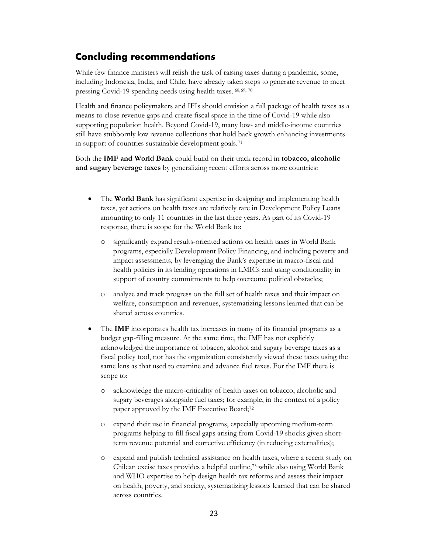## <span id="page-24-0"></span>**Concluding recommendations**

While few finance ministers will relish the task of raising taxes during a pandemic, some, including Indonesia, India, and Chile, have already taken steps to generate revenue to meet pressing Covid-19 spending needs using health taxes. [68,](#page-34-17)[69](#page-34-18), [70](#page-34-19)

Health and finance policymakers and IFIs should envision a full package of health taxes as a means to close revenue gaps and create fiscal space in the time of Covid-19 while also supporting population health. Beyond Covid-19, many low- and middle-income countries still have stubbornly low revenue collections that hold back growth enhancing investments in support of countries sustainable development goals.[71](#page-34-20)

Both the **IMF and World Bank** could build on their track record in **tobacco, alcoholic and sugary beverage taxes** by generalizing recent efforts across more countries:

- The **World Bank** has significant expertise in designing and implementing health taxes, yet actions on health taxes are relatively rare in Development Policy Loans amounting to only 11 countries in the last three years. As part of its Covid-19 response, there is scope for the World Bank to:
	- o significantly expand results-oriented actions on health taxes in World Bank programs, especially Development Policy Financing, and including poverty and impact assessments, by leveraging the Bank's expertise in macro-fiscal and health policies in its lending operations in LMICs and using conditionality in support of country commitments to help overcome political obstacles;
	- o analyze and track progress on the full set of health taxes and their impact on welfare, consumption and revenues, systematizing lessons learned that can be shared across countries.
- The **IMF** incorporates health tax increases in many of its financial programs as a budget gap-filling measure. At the same time, the IMF has not explicitly acknowledged the importance of tobacco, alcohol and sugary beverage taxes as a fiscal policy tool, nor has the organization consistently viewed these taxes using the same lens as that used to examine and advance fuel taxes. For the IMF there is scope to:
	- o acknowledge the macro-criticality of health taxes on tobacco, alcoholic and sugary beverages alongside fuel taxes; for example, in the context of a policy paper approved by the IMF Executive Board;[72](#page-34-21)
	- o expand their use in financial programs, especially upcoming medium-term programs helping to fill fiscal gaps arising from Covid-19 shocks given shortterm revenue potential and corrective efficiency (in reducing externalities);
	- o expand and publish technical assistance on health taxes, where a recent study on Chilean excise taxes provides a helpful outline,[73](#page-34-22) while also using World Bank and WHO expertise to help design health tax reforms and assess their impact on health, poverty, and society, systematizing lessons learned that can be shared across countries.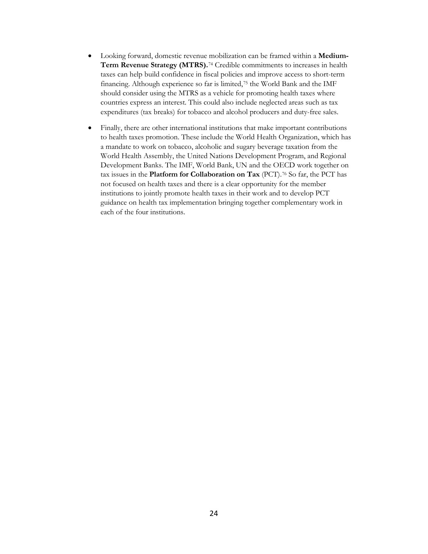- Looking forward, domestic revenue mobilization can be framed within a **Medium-Term Revenue Strategy (MTRS).**[74](#page-34-23) Credible commitments to increases in health taxes can help build confidence in fiscal policies and improve access to short-term financing. Although experience so far is limited,[75](#page-34-24) the World Bank and the IMF should consider using the MTRS as a vehicle for promoting health taxes where countries express an interest. This could also include neglected areas such as tax expenditures (tax breaks) for tobacco and alcohol producers and duty-free sales.
- Finally, there are other international institutions that make important contributions to health taxes promotion. These include the World Health Organization, which has a mandate to work on tobacco, alcoholic and sugary beverage taxation from the World Health Assembly, the United Nations Development Program, and Regional Development Banks. The IMF, World Bank, UN and the OECD work together on tax issues in the **Platform for Collaboration on Tax** (PCT).[76](#page-34-25) So far, the PCT has not focused on health taxes and there is a clear opportunity for the member institutions to jointly promote health taxes in their work and to develop PCT guidance on health tax implementation bringing together complementary work in each of the four institutions.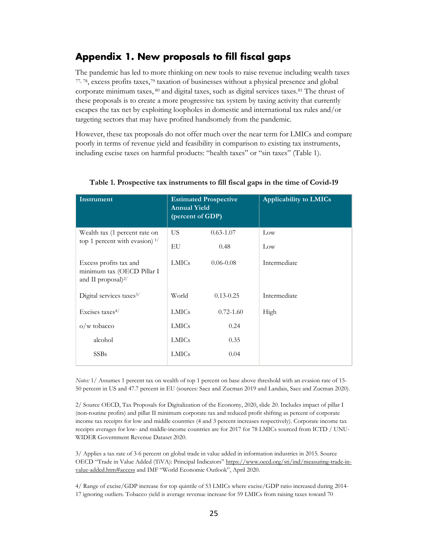## <span id="page-26-0"></span>**Appendix 1. New proposals to fill fiscal gaps**

The pandemic has led to more thinking on new tools to raise revenue including wealth taxes [77,](#page-34-26) [78](#page-34-27), excess profits taxes,[79](#page-34-28) taxation of businesses without a physical presence and global corporate minimum taxes, [80](#page-35-0) and digital taxes, such as digital services taxes[.81](#page-35-1) The thrust of these proposals is to create a more progressive tax system by taxing activity that currently escapes the tax net by exploiting loopholes in domestic and international tax rules and/or targeting sectors that may have profited handsomely from the pandemic.

However, these tax proposals do not offer much over the near term for LMICs and compare poorly in terms of revenue yield and feasibility in comparison to existing tax instruments, including excise taxes on harmful products: "health taxes" or "sin taxes" (Table 1).

| Instrument                                                                       | <b>Estimated Prospective</b><br><b>Annual Yield</b><br>(percent of GDP) |               | <b>Applicability to LMICs</b> |
|----------------------------------------------------------------------------------|-------------------------------------------------------------------------|---------------|-------------------------------|
| Wealth tax (1 percent rate on<br>top 1 percent with evasion) $1/$                | US.                                                                     | $0.63 - 1.07$ | Low                           |
|                                                                                  | EU                                                                      | 0.48          | Low                           |
| Excess profits tax and<br>minimum tax (OECD Pillar I<br>and II proposal $)^{2/}$ | <b>LMICs</b>                                                            | $0.06 - 0.08$ | Intermediate                  |
| Digital services taxes <sup>3/</sup>                                             | World                                                                   | $0.13 - 0.25$ | Intermediate                  |
| Excises taxes <sup>4/</sup>                                                      | <b>LMICs</b>                                                            | $0.72 - 1.60$ | High                          |
| $o/w$ tobacco                                                                    | <b>LMICs</b>                                                            | 0.24          |                               |
| alcohol                                                                          | <b>LMICs</b>                                                            | 0.35          |                               |
| <b>SSBs</b>                                                                      | <b>LMICs</b>                                                            | 0.04          |                               |

#### **Table 1. Prospective tax instruments to fill fiscal gaps in the time of Covid-19**

*Notes:* 1/ Assumes 1 percent tax on wealth of top 1 percent on base above threshold with an evasion rate of 15- 50 percent in US and 47.7 percent in EU (sources: Saez and Zucman 2019 and Landais, Saez and Zucman 2020).

2/ Source OECD, Tax Proposals for Digitalization of the Economy, 2020, slide 20. Includes impact of pillar I (non-routine profits) and pillar II minimum corporate tax and reduced profit shifting as percent of corporate income tax receipts for low and middle countries (4 and 3 percent increases respectively). Corporate income tax receipts averages for low- and middle-income countries are for 2017 for 78 LMICs sourced from ICTD / UNU-WIDER Government Revenue Dataset 2020.

3/ Applies a tax rate of 3-6 percent on global trade in value added in information industries in 2015. Source OECD "Trade in Value Added (TiVA): Principal Indicators" [https://www.oecd.org/sti/ind/measuring-trade-in](https://www.oecd.org/sti/ind/measuring-trade-in-value-added.htm#access)[value-added.htm#access](https://www.oecd.org/sti/ind/measuring-trade-in-value-added.htm#access) and IMF "World Economic Outlook", April 2020.

4/ Range of excise/GDP increase for top quintile of 53 LMICs where excise/GDP ratio increased during 2014- 17 ignoring outliers. Tobacco yield is average revenue increase for 59 LMICs from raising taxes toward 70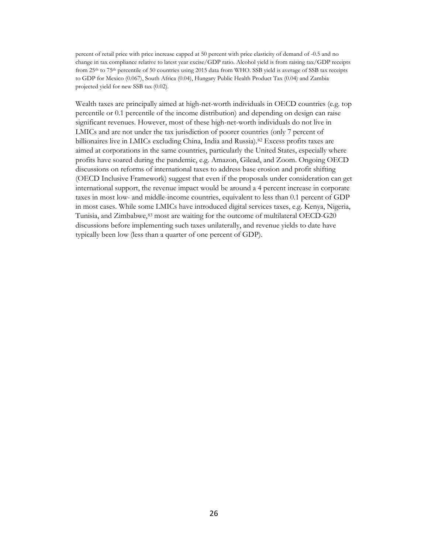percent of retail price with price increase capped at 50 percent with price elasticity of demand of -0.5 and no change in tax compliance relative to latest year excise/GDP ratio. Alcohol yield is from raising tax/GDP receipts from 25th to 75th percentile of 50 countries using 2015 data from WHO. SSB yield is average of SSB tax receipts to GDP for Mexico (0.067), South Africa (0.04), Hungary Public Health Product Tax (0.04) and Zambia projected yield for new SSB tax (0.02).

Wealth taxes are principally aimed at high-net-worth individuals in OECD countries (e.g. top percentile or 0.1 percentile of the income distribution) and depending on design can raise significant revenues. However, most of these high-net-worth individuals do not live in LMICs and are not under the tax jurisdiction of poorer countries (only 7 percent of billionaires live in LMICs excluding China, India and Russia).[82](#page-35-2) Excess profits taxes are aimed at corporations in the same countries, particularly the United States, especially where profits have soared during the pandemic, e.g. Amazon, Gilead, and Zoom. Ongoing OECD discussions on reforms of international taxes to address base erosion and profit shifting (OECD Inclusive Framework) suggest that even if the proposals under consideration can get international support, the revenue impact would be around a 4 percent increase in corporate taxes in most low- and middle-income countries, equivalent to less than 0.1 percent of GDP in most cases. While some LMICs have introduced digital services taxes, e.g. Kenya, Nigeria, Tunisia, and Zimbabwe, [83](#page-35-3) most are waiting for the outcome of multilateral OECD-G20 discussions before implementing such taxes unilaterally, and revenue yields to date have typically been low (less than a quarter of one percent of GDP).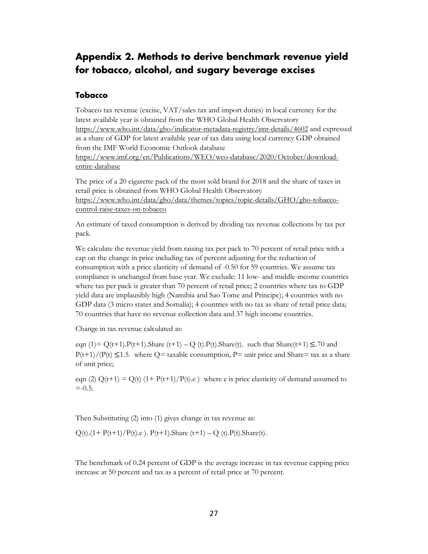## <span id="page-28-0"></span>**Appendix 2. Methods to derive benchmark revenue yield for tobacco, alcohol, and sugary beverage excises**

#### <span id="page-28-1"></span>**Tobacco**

Tobacco tax revenue (excise, VAT/sales tax and import duties) in local currency for the latest available year is obtained from the WHO Global Health Observatory <https://www.who.int/data/gho/indicator-metadata-registry/imr-details/4602> and expressed as a share of GDP for latest available year of tax data using local currency GDP obtained from the IMF World Economic Outlook database [https://www.imf.org/en/Publications/WEO/weo-database/2020/October/download](https://www.imf.org/en/Publications/WEO/weo-database/2020/October/download-entire-database)[entire-database](https://www.imf.org/en/Publications/WEO/weo-database/2020/October/download-entire-database)

The price of a 20 cigarette pack of the most sold brand for 2018 and the share of taxes in retail price is obtained from WHO Global Health Observatory [https://www.who.int/data/gho/data/themes/topics/topic-details/GHO/gho-tobacco](https://www.who.int/data/gho/data/themes/topics/topic-details/GHO/gho-tobacco-control-raise-taxes-on-tobacco)[control-raise-taxes-on-tobacco](https://www.who.int/data/gho/data/themes/topics/topic-details/GHO/gho-tobacco-control-raise-taxes-on-tobacco)

An estimate of taxed consumption is derived by dividing tax revenue collections by tax per pack.

We calculate the revenue yield from raising tax per pack to 70 percent of retail price with a cap on the change in price including tax of percent adjusting for the reduction of consumption with a price elasticity of demand of -0.50 for 59 countries. We assume tax compliance is unchanged from base year. We exclude: 11 low- and middle-income countries where tax per pack is greater than 70 percent of retail price; 2 countries where tax to GDP yield data are implausibly high (Namibia and Sao Tome and Principe); 4 countries with no GDP data (3 micro states and Somalia); 4 countries with no tax as share of retail price data; 70 countries that have no revenue collection data and 37 high income countries.

Change in tax revenue calculated as:

eqn (1)=  $Q(t+1)$ . $P(t+1)$ .Share (t+1) – Q (t). $P(t)$ .Share(t). such that Share(t+1)  $\leq$ .70 and  $P(t+1)/(P(t) \leq 1.5$ . where Q= taxable consumption, P= unit price and Share= tax as a share of unit price;

eqn (2)  $Q(t+1) = Q(t)$  (1+  $P(t+1)/P(t)$ .e) where e is price elasticity of demand assumed to  $= -0.5.$ 

Then Substituting (2) into (1) gives change in tax revenue as:

 $Q(t)$ .(1+ P(t+1)/P(t).e). P(t+1).Share (t+1) – Q (t).P(t).Share(t).

The benchmark of 0.24 percent of GDP is the average increase in tax revenue capping price increase at 50 percent and tax as a percent of retail price at 70 percent.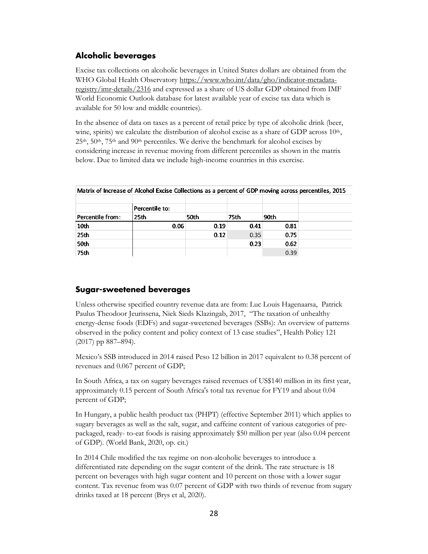#### <span id="page-29-0"></span>**Alcoholic beverages**

Excise tax collections on alcoholic beverages in United States dollars are obtained from the WHO Global Health Observatory [https://www.who.int/data/gho/indicator-metadata](https://www.who.int/data/gho/indicator-metadata-registry/imr-details/2316)[registry/imr-details/2316](https://www.who.int/data/gho/indicator-metadata-registry/imr-details/2316) and expressed as a share of US dollar GDP obtained from IMF World Economic Outlook database for latest available year of excise tax data which is available for 50 low and middle countries).

In the absence of data on taxes as a percent of retail price by type of alcoholic drink (beer, wine, spirits) we calculate the distribution of alcohol excise as a share of GDP across  $10<sup>th</sup>$ , 25<sup>th</sup>, 50<sup>th</sup>, 75<sup>th</sup> and 90<sup>th</sup> percentiles. We derive the benchmark for alcohol excises by considering increase in revenue moving from different percentiles as shown in the matrix below. Due to limited data we include high-income countries in this exercise.

|                  | meens or mercase or meener excise concecions as a percent or opil moving across percentifies, zozy |      |      |      |  |
|------------------|----------------------------------------------------------------------------------------------------|------|------|------|--|
|                  | Percentile to:                                                                                     |      |      |      |  |
| Percentile from: | 25th                                                                                               | 50th | 75th | 90th |  |
| 10 <sub>th</sub> | 0.06                                                                                               | 0.19 | 0.41 | 0.81 |  |
| 25 <sub>th</sub> |                                                                                                    | 0.12 | 0.35 | 0.75 |  |
| 50th             |                                                                                                    |      | 0.23 | 0.62 |  |
| 75th             |                                                                                                    |      |      | 0.39 |  |

Matrix of Increase of Alcohol Excise Collections as a nercent of GDP moving across percentiles, 2015

#### <span id="page-29-1"></span>**Sugar-sweetened beverages**

Unless otherwise specified country revenue data are from: Luc Louis Hagenaarsa, Patrick Paulus Theodoor Jeurissena, Niek Sieds Klazingab, 2017, "The taxation of unhealthy energy-dense foods (EDFs) and sugar-sweetened beverages (SSBs): An overview of patterns observed in the policy content and policy context of 13 case studies", Health Policy 121 (2017) pp 887–894).

Mexico's SSB introduced in 2014 raised Peso 12 billion in 2017 equivalent to 0.38 percent of revenues and 0.067 percent of GDP;

In South Africa, a tax on sugary beverages raised revenues of US\$140 million in its first year, approximately 0.15 percent of South Africa's total tax revenue for FY19 and about 0.04 percent of GDP;

In Hungary, a public health product tax (PHPT) (effective September 2011) which applies to sugary beverages as well as the salt, sugar, and caffeine content of various categories of prepackaged, ready- to-eat foods is raising approximately \$50 million per year (also 0.04 percent of GDP). (World Bank, 2020, op. cit.)

In 2014 Chile modified the tax regime on non-alcoholic beverages to introduce a differentiated rate depending on the sugar content of the drink. The rate structure is 18 percent on beverages with high sugar content and 10 percent on those with a lower sugar content. Tax revenue from was 0.07 percent of GDP with two thirds of revenue from sugary drinks taxed at 18 percent (Brys et al, 2020).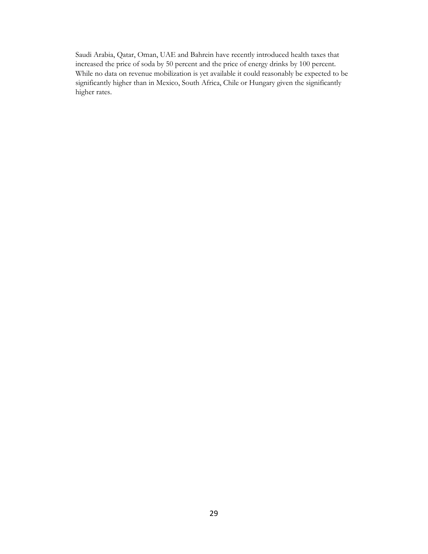Saudi Arabia, Qatar, Oman, UAE and Bahrein have recently introduced health taxes that increased the price of soda by 50 percent and the price of energy drinks by 100 percent. While no data on revenue mobilization is yet available it could reasonably be expected to be significantly higher than in Mexico, South Africa, Chile or Hungary given the significantly higher rates.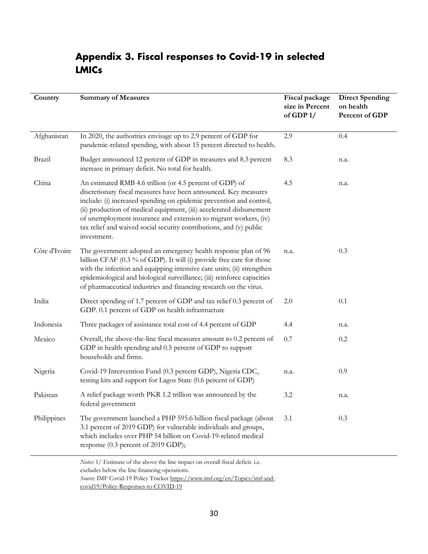## <span id="page-31-0"></span>**Appendix 3. Fiscal responses to Covid-19 in selected LMICs**

| Country       | <b>Summary of Measures</b>                                                                                                                                                                                                                                                                                                                                                                                                           | Fiscal package<br>size in Percent<br>of GDP $1/$ | <b>Direct Spending</b><br>on health<br>Percent of GDP |
|---------------|--------------------------------------------------------------------------------------------------------------------------------------------------------------------------------------------------------------------------------------------------------------------------------------------------------------------------------------------------------------------------------------------------------------------------------------|--------------------------------------------------|-------------------------------------------------------|
| Afghanistan   | In 2020, the authorities envisage up to 2.9 percent of GDP for<br>pandemic-related spending, with about 15 percent directed to health.                                                                                                                                                                                                                                                                                               | 2.9                                              | 0.4                                                   |
| Brazil        | Budget announced 12 percent of GDP in measures and 8.3 percent<br>increase in primary deficit. No total for health.                                                                                                                                                                                                                                                                                                                  | 8.3                                              | n.a.                                                  |
| China         | An estimated RMB 4.6 trillion (or 4.5 percent of GDP) of<br>discretionary fiscal measures have been announced. Key measures<br>include: (i) increased spending on epidemic prevention and control,<br>(ii) production of medical equipment, (iii) accelerated disbursement<br>of unemployment insurance and extension to migrant workers, (iv)<br>tax relief and waived social security contributions, and (v) public<br>investment. | 4.5                                              | n.a.                                                  |
| Côte d'Ivoire | The government adopted an emergency health response plan of 96<br>billion CFAF (0.3 % of GDP). It will (i) provide free care for those<br>with the infection and equipping intensive care units; (ii) strengthen<br>epidemiological and biological surveillance; (iii) reinforce capacities<br>of pharmaceutical industries and financing research on the virus.                                                                     | n.a.                                             | 0.3                                                   |
| India         | Direct spending of 1.7 percent of GDP and tax relief 0.3 percent of<br>GDP. 0.1 percent of GDP on health infrastructure                                                                                                                                                                                                                                                                                                              | 2.0                                              | 0.1                                                   |
| Indonesia     | Three packages of assistance total cost of 4.4 percent of GDP                                                                                                                                                                                                                                                                                                                                                                        | 4.4                                              | n.a.                                                  |
| Mexico        | Overall, the above-the-line fiscal measures amount to 0.2 percent of<br>GDP in health spending and 0.5 percent of GDP to support<br>households and firms.                                                                                                                                                                                                                                                                            | 0.7                                              | 0.2                                                   |
| Nigeria       | Covid-19 Intervention Fund (0.3 percent GDP), Nigeria CDC,<br>testing kits and support for Lagos State (0.6 percent of GDP)                                                                                                                                                                                                                                                                                                          | n.a.                                             | 0.9                                                   |
| Pakistan      | A relief package worth PKR 1.2 trillion was announced by the<br>federal government                                                                                                                                                                                                                                                                                                                                                   | 3.2                                              | n.a.                                                  |
| Philippines   | The government launched a PHP 595.6 billion fiscal package (about<br>3.1 percent of 2019 GDP) for vulnerable individuals and groups,<br>which includes over PHP 54 billion on Covid-19-related medical<br>response (0.3 percent of 2019 GDP);                                                                                                                                                                                        | 3.1                                              | 0.3                                                   |
|               | Networth Estimate of the shore the line impact on evenall fiscal deficit.                                                                                                                                                                                                                                                                                                                                                            |                                                  |                                                       |

*Notes:* 1/ Estimate of the above the line impact on overall fiscal deficit. i.e. excludes below the line financing operations. *Source*: IMF Covid-19 Policy Tracke[r https://www.imf.org/en/Topics/imf-and](https://www.imf.org/en/Topics/imf-and-covid19/Policy-Responses-to-COVID-19)[covid19/Policy-Responses-to-COVID-19](https://www.imf.org/en/Topics/imf-and-covid19/Policy-Responses-to-COVID-19)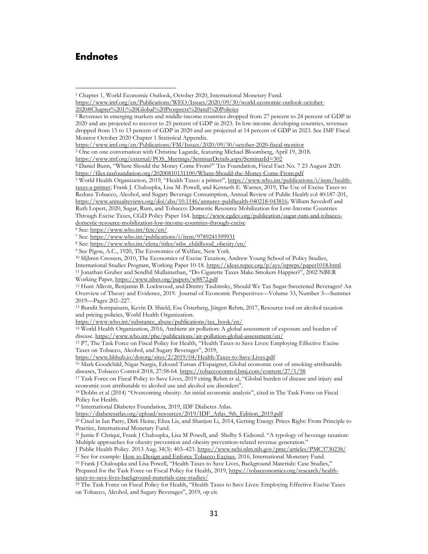#### <span id="page-32-0"></span>**Endnotes**

[https://www.imf.org/external/POS\\_Meetings/SeminarDetails.aspx?SeminarId=302](https://www.imf.org/external/POS_Meetings/SeminarDetails.aspx?SeminarId=302)

<span id="page-32-7"></span><span id="page-32-6"></span><sup>6</sup> See:<https://www.who.int/fctc/en/>

<span id="page-32-14"></span>[https://www.who.int/substance\\_abuse/publications/tax\\_book/en/](https://www.who.int/substance_abuse/publications/tax_book/en/)

<sup>14</sup> World Health Organization, 2016, Ambient air pollution: A global assessment of exposure and burden of disease[. https://www.who.int/phe/publications/air-pollution-global-assessment/en/](https://www.who.int/phe/publications/air-pollution-global-assessment/en/)

<span id="page-32-15"></span><sup>15</sup> P7, The Task Force on Fiscal Policy for Health, "Health Taxes to Save Lives: Employing Effective Excise Taxes on Tobacco, Alcohol, and Sugary Beverages", 2019,

<https://www.bbhub.io/dotorg/sites/2/2019/04/Health-Taxes-to-Save-Lives.pdf>

<span id="page-32-16"></span><sup>16</sup> Mark Goodchild, Nigar Nargis, Edourd Tursan d'Espaignet, Global economic cost of smoking-attributable diseases, Tobacco Control 2018, 27:58-64[. https://tobaccocontrol.bmj.com/content/27/1/58](https://tobaccocontrol.bmj.com/content/27/1/58)

<span id="page-32-17"></span><sup>17</sup> Task Force on Fiscal Policy to Save Lives, 2019 citing Rehm et al, "Global burden of disease and injury and economic cost attributable to alcohol use and alcohol use disorders".

<span id="page-32-18"></span><sup>18</sup> Dobbs et al (2014) "Overcoming obesity: An initial economic analysis", cited in The Task Force on Fiscal Policy for Health.

<span id="page-32-19"></span>[https://diabetesatlas.org/upload/resources/2019/IDF\\_Atlas\\_9th\\_Edition\\_2019.pdf](https://diabetesatlas.org/upload/resources/2019/IDF_Atlas_9th_Edition_2019.pdf)

<span id="page-32-20"></span><sup>20</sup> Cited in Ian Parry, Dirk Heine, Eliza Lis, and Shanjun Li, 2014, Getting Energy Prices Right: From Principle to Practice, International Monetary Fund.

<span id="page-32-21"></span><sup>21</sup> [Jamie F Chriqui,](https://www.ncbi.nlm.nih.gov/pubmed/?term=Chriqui%20JF%5BAuthor%5D&cauthor=true&cauthor_uid=23698157) [Frank J Chaloupka,](https://www.ncbi.nlm.nih.gov/pubmed/?term=Chaloupka%20FJ%5BAuthor%5D&cauthor=true&cauthor_uid=23698157) Lisa [M Powell,](https://www.ncbi.nlm.nih.gov/pubmed/?term=Powell%20LM%5BAuthor%5D&cauthor=true&cauthor_uid=23698157) and [Shelby S Eidsond](https://www.ncbi.nlm.nih.gov/pubmed/?term=Eidson%20SS%5BAuthor%5D&cauthor=true&cauthor_uid=23698157). "A typology of beverage taxation: Multiple approaches for obesity prevention and obesity prevention-related revenue generation."

<span id="page-32-22"></span>[J Public Health Policy.](https://www.ncbi.nlm.nih.gov/pmc/articles/PMC3730238/) 2013 Aug; 34(3): 403–423[. https://www.ncbi.nlm.nih.gov/pmc/articles/PMC3730238/](https://www.ncbi.nlm.nih.gov/pmc/articles/PMC3730238/)

<span id="page-32-23"></span><sup>22</sup> See for example: <u>How to Design and Enforce Tobacco Excises</u>, 2016, International Monetary Fund.<br><sup>23</sup> Frank J Chaloupka and Lisa Powell, "Health Taxes to Save Lives, Background Materials: Case Studies," Prepared for the Task Force on Fiscal Policy for Health, 2019[, https://tobacconomics.org/research/health](https://tobacconomics.org/research/health-taxes-to-save-lives-background-materials-case-studies/)[taxes-to-save-lives-background-materials-case-studies/](https://tobacconomics.org/research/health-taxes-to-save-lives-background-materials-case-studies/)

<span id="page-32-1"></span><sup>&</sup>lt;sup>1</sup> Chapter 1, World Economic Outlook, October 2020, International Monetary Fund. [https://www.imf.org/en/Publications/WEO/Issues/2020/09/30/world-economic-outlook-october-](https://www.imf.org/en/Publications/WEO/Issues/2020/09/30/world-economic-outlook-october-2020#Chapter%201:%20Global%20Prospects%20and%20Policies)[2020#Chapter%201:%20Global%20Prospects%20and%20Policies](https://www.imf.org/en/Publications/WEO/Issues/2020/09/30/world-economic-outlook-october-2020#Chapter%201:%20Global%20Prospects%20and%20Policies)

<span id="page-32-2"></span><sup>2</sup> Revenues in emerging markets and middle-income countries dropped from 27 percent to 24 percent of GDP in 2020 and are projected to recover to 25 percent of GDP in 2023. In low-income developing countries, revenues dropped from 15 to 13 percent of GDP in 2020 and are projected at 14 percent of GDP in 2023. See IMF Fiscal Monitor October 2020 Chapter 1 Statistical Appendix.

<https://www.imf.org/en/Publications/FM/Issues/2020/09/30/october-2020-fiscal-monitor>

<span id="page-32-3"></span><sup>3</sup> One on one conversation with Christine Lagarde, featuring Michael Bloomberg, April 19, 2018.

<span id="page-32-4"></span><sup>4</sup> Daniel Bunn, "Where Should the Money Come From?" Tax Foundation, Fiscal Fact No. 7 23 August 2020. <https://files.taxfoundation.org/20200810131100/Where-Should-the-Money-Come-From.pdf>

<span id="page-32-5"></span><sup>5</sup> World Health Organization, 2019, "Health Taxes: a primer", [https://www.who.int/publications/i/item/health](https://www.who.int/publications/i/item/health-taxes-a-primer)[taxes-a-primer;](https://www.who.int/publications/i/item/health-taxes-a-primer) Frank J. Chaloupka, Lisa M. Powell, and Kenneth E. Warner, 2019, The Use of Excise Taxes to Reduce Tobacco, Alcohol, and Sugary Beverage Consumption, Annual Review of Public Health col 40:187-201, [https://www.annualreviews.org/doi/abs/10.1146/annurev-publhealth-040218-043816;](https://www.annualreviews.org/doi/abs/10.1146/annurev-publhealth-040218-043816) William Savedoff and Ruth Lopert, 2020, Sugar, Rum, and Tobacco: Domestic Resource Mobilization for Low-Income Countries Through Excise Taxes, CGD Policy Paper 164. [https://www.cgdev.org/publication/sugar-rum-and-tobacco](https://www.cgdev.org/publication/sugar-rum-and-tobacco-domestic-resource-mobilization-low-income-countries-through-excise)[domestic-resource-mobilization-low-income-countries-through-excise](https://www.cgdev.org/publication/sugar-rum-and-tobacco-domestic-resource-mobilization-low-income-countries-through-excise)

<sup>7</sup> See:<https://www.who.int/publications/i/item/9789241599931>

<span id="page-32-8"></span><sup>8</sup> See: [https://www.who.int/elena/titles/ssbs\\_childhood\\_obesity/en/](https://www.who.int/elena/titles/ssbs_childhood_obesity/en/)

<span id="page-32-9"></span><sup>9</sup> See Pigou, A.C., 1920, The Economics of Welfare, New York.

<span id="page-32-10"></span><sup>10</sup> SIjbren Cnossen, 2010, The Economics of Excise Taxation, Andrew Young School of Policy Studies,

<span id="page-32-11"></span>International Studies Program, Working Paper 10-18.<https://ideas.repec.org/p/ays/ispwps/paper1018.html> <sup>11</sup> Jonathan Gruber and Sendhil Mullainathan, "Do Cigarette Taxes Make Smokers Happier?", 2002 NBER Working Paper,<https://www.nber.org/papers/w8872.pdf>

<span id="page-32-12"></span><sup>12</sup> Hunt Allcott, Benjamin B. Lockwood, and Dmitry Taubinsky, Should We Tax Sugar-Sweetened Beverages? An Overview of Theory and Evidence, 2019. Journal of Economic Perspectives—Volume 33, Number 3—Summer 2019—Pages 202–227.

<span id="page-32-13"></span><sup>13</sup> Bundit Sornpaisarn, Kevin D. Shield, Esa Österberg, Jürgen Rehm, 2017, Resource tool on alcohol taxation and pricing policies, World Health Organization.

<sup>19</sup> International Diabetes Foundation, 2019, IDF Diabetes Atlas.

<span id="page-32-24"></span><sup>24</sup> The Task Force on Fiscal Policy for Health, "Health Taxes to Save Lives: Employing Effective Excise Taxes on Tobacco, Alcohol, and Sugary Beverages", 2019, op cit.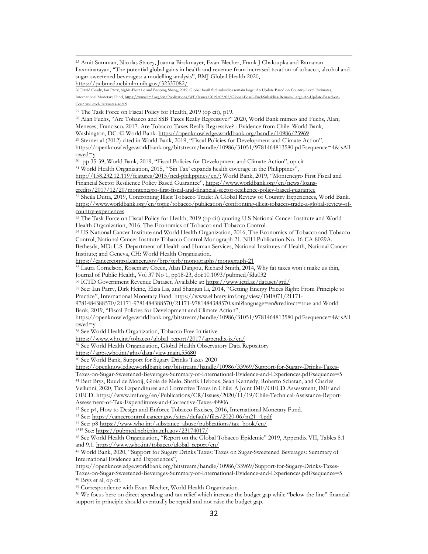<span id="page-33-0"></span><sup>25</sup> Amit Summan, Nicolas Stacey, Joanna Birckmayer, Evan Blecher, Frank J Chaloupka and Ramanan Laxminarayan, "The potential global gains in health and revenue from increased taxation of tobacco, alcohol and sugar-sweetened beverages: a modelling analysis", BMJ Global Health 2020, <https://pubmed.ncbi.nlm.nih.gov/32337082/>

<span id="page-33-1"></span>26 David Coady, Ian Parry, Nghia-Piotr Le and Baoping Shang, 2019, Global fossil fuel subsidies remain large: An Update Based on Country-Level Estimates, International Monetary Fund, https://www.imf.org/en/Publications/WP/Issues/2019/05/02/Global-Fossil-Fuel-Subsidies-Re

[Country-Level-Estimates-46509](https://www.imf.org/en/Publications/WP/Issues/2019/05/02/Global-Fossil-Fuel-Subsidies-Remain-Large-An-Update-Based-on-Country-Level-Estimates-46509)

<span id="page-33-2"></span><sup>27</sup> The Task Force on Fiscal Policy for Health, 2019 (op cit), p19.

<span id="page-33-3"></span><sup>28</sup> Alan Fuchs, "Are Tobacco and SSB Taxes Really Regressive?" 2020, World Bank mimeo and Fuchs, Alan; Meneses, Francisco. 2017. Are Tobacco Taxes Really Regressive? : Evidence from Chile. World Bank, Washington, DC. © World Bank.<https://openknowledge.worldbank.org/handle/10986/25969> <sup>29</sup> Sterner al (2012) cited in World Bank, 2019, "Fiscal Policies for Development and Climate Action",

<span id="page-33-4"></span>[https://openknowledge.worldbank.org/bitstream/handle/10986/31051/9781464813580.pdf?sequence=4&isAll](https://openknowledge.worldbank.org/bitstream/handle/10986/31051/9781464813580.pdf?sequence=4&isAllowed=y) [owed=y](https://openknowledge.worldbank.org/bitstream/handle/10986/31051/9781464813580.pdf?sequence=4&isAllowed=y)

<span id="page-33-5"></span>30 pp 35-39, World Bank, 2019, "Fiscal Policies for Development and Climate Action", op cit

<sup>31</sup> World Health Organization, 2015, "'Sin Tax' expands health coverage in the Philippines",

<span id="page-33-6"></span>[http://158.232.12.119/features/2015/ncd-philippines/en/;](http://158.232.12.119/features/2015/ncd-philippines/en/) World Bank, 2019, "Montenegro First Fiscal and Financial Sector Resilience Policy Based Guarantee", [https://www.worldbank.org/en/news/loans-](https://www.worldbank.org/en/news/loans-credits/2017/12/20/montenegro-first-fiscal-and-financial-sector-resilience-policy-based-guarantee)

[credits/2017/12/20/montenegro-first-fiscal-and-financial-sector-resilience-policy-based-guarantee](https://www.worldbank.org/en/news/loans-credits/2017/12/20/montenegro-first-fiscal-and-financial-sector-resilience-policy-based-guarantee) <sup>32</sup> Sheila Dutta, 2019, Confronting Illicit Tobacco Trade: A Global Review of Country Experiences, World Bank.

<span id="page-33-7"></span>[https://www.worldbank.org/en/topic/tobacco/publication/confronting-illicit-tobacco-trade-a-global-review-of](https://www.worldbank.org/en/topic/tobacco/publication/confronting-illicit-tobacco-trade-a-global-review-of-country-experiences)[country-experiences](https://www.worldbank.org/en/topic/tobacco/publication/confronting-illicit-tobacco-trade-a-global-review-of-country-experiences)

<span id="page-33-8"></span><sup>33</sup> The Task Force on Fiscal Policy for Health, 2019 (op cit) quoting U.S National Cancer Institute and World Health Organization, 2016, The Economics of Tobacco and Tobacco Control.

<span id="page-33-9"></span><sup>34</sup> US National Cancer Institute and World Health Organization, 2016, The Economics of Tobacco and Tobacco Control, National Cancer Institute Tobacco Control Monograph 21. NIH Publication No. 16-CA-8029A.

Bethesda, MD: U.S. Department of Health and Human Services, National Institutes of Health, National Cancer Institute; and Geneva, CH: World Health Organization.

<https://cancercontrol.cancer.gov/brp/tcrb/monographs/monograph-21>

<span id="page-33-10"></span><sup>35</sup> Laura Cornelson, Rosemary Green, Alan Dangou, Richard Smith, 2014, Why fat taxes won't make us thin, Journal of Public Health, Vol 37 No 1, pp18-23, doi:10.1093/pubmed/fdu032

<span id="page-33-11"></span><sup>36</sup> ICTD Government Revenue Dataset. Available at[: https://www.ictd.ac/dataset/grd/](https://www.ictd.ac/dataset/grd/)

<span id="page-33-12"></span><sup>37</sup> See: Ian Parry, Dirk Heine, Eliza Lis, and Shanjun Li, 2014, "Getting Energy Prices Right: From Principle to Practice", International Monetary Fund[. https://www.elibrary.imf.org/view/IMF071/21171-](https://www.elibrary.imf.org/view/IMF071/21171-9781484388570/21171-9781484388570/21171-9781484388570.xml?language=en&redirect=true)

[9781484388570/21171-9781484388570/21171-9781484388570.xml?language=en&redirect=true](https://www.elibrary.imf.org/view/IMF071/21171-9781484388570/21171-9781484388570/21171-9781484388570.xml?language=en&redirect=true) and World Bank, 2019, "Fiscal Policies for Development and Climate Action",

[https://openknowledge.worldbank.org/bitstream/handle/10986/31051/9781464813580.pdf?sequence=4&isAll](https://openknowledge.worldbank.org/bitstream/handle/10986/31051/9781464813580.pdf?sequence=4&isAllowed=y)  $owed=v$ 

<span id="page-33-13"></span><sup>38</sup> See World Health Organization, Tobacco Free Initiative

[https://www.who.int/tobacco/global\\_report/2017/appendix-ix/en/](https://www.who.int/tobacco/global_report/2017/appendix-ix/en/)

<span id="page-33-14"></span><sup>39</sup> See World Health Organization, Global Health Observatory Data Repository

<https://apps.who.int/gho/data/view.main.55680>

<span id="page-33-15"></span><sup>40</sup> See World Bank, Support for Sugary Drinks Taxes 2020

[https://openknowledge.worldbank.org/bitstream/handle/10986/33969/Support-for-Sugary-Drinks-Taxes-](https://openknowledge.worldbank.org/bitstream/handle/10986/33969/Support-for-Sugary-Drinks-Taxes-Taxes-on-Sugar-Sweetened-Beverages-Summary-of-International-Evidence-and-Experiences.pdf?sequence=5)[Taxes-on-Sugar-Sweetened-Beverages-Summary-of-International-Evidence-and-Experiences.pdf?sequence=5](https://openknowledge.worldbank.org/bitstream/handle/10986/33969/Support-for-Sugary-Drinks-Taxes-Taxes-on-Sugar-Sweetened-Beverages-Summary-of-International-Evidence-and-Experiences.pdf?sequence=5)

<span id="page-33-16"></span><sup>41</sup> Bert Brys, Ruud de Mooij, Gioia de Melo, Shafik Hebous, Sean Kennedy, Roberto Schatan, and Charles

Vellutini, 2020, Tax Expenditures and Corrective Taxes in Chile: A Joint IMF/OECD Assessment, IMF and OECD. [https://www.imf.org/en/Publications/CR/Issues/2020/11/19/Chile-Technical-Assistance-Report-](https://www.imf.org/en/Publications/CR/Issues/2020/11/19/Chile-Technical-Assistance-Report-Assessment-of-Tax-Expenditures-and-Corrective-Taxes-49906)

[Assessment-of-Tax-Expenditures-and-Corrective-Taxes-49906](https://www.imf.org/en/Publications/CR/Issues/2020/11/19/Chile-Technical-Assistance-Report-Assessment-of-Tax-Expenditures-and-Corrective-Taxes-49906)

<span id="page-33-18"></span><span id="page-33-17"></span><sup>42</sup> See p4, [How to Design and Enforce Tobacco Excises,](https://www.imf.org/external/pubs/ft/howtonotes/2016/howtonote1603.pdf) 2016, International Monetary Fund.

<sup>43</sup> See: [https://cancercontrol.cancer.gov/sites/default/files/2020-06/m21\\_4.pdf](https://cancercontrol.cancer.gov/sites/default/files/2020-06/m21_4.pdf)

<sup>44</sup> See: p8 [https://www.who.int/substance\\_abuse/publications/tax\\_book/en/](https://www.who.int/substance_abuse/publications/tax_book/en/)

<span id="page-33-20"></span><span id="page-33-19"></span><sup>4545</sup> See[: https://pubmed.ncbi.nlm.nih.gov/23174017/](https://pubmed.ncbi.nlm.nih.gov/23174017/)

<span id="page-33-21"></span><sup>46</sup> See World Health Organization, "Report on the Global Tobacco Epidemic" 2019, Appendix VII, Tables 8.1 and 9.1[. https://www.who.int/tobacco/global\\_report/en/](https://www.who.int/tobacco/global_report/en/)

<span id="page-33-22"></span><sup>47</sup> World Bank, 2020, "Support for Sugary Drinks Taxes: Taxes on Sugar-Sweetened Beverages: Summary of International Evidence and Experiences",

[https://openknowledge.worldbank.org/bitstream/handle/10986/33969/Support-for-Sugary-Drinks-Taxes-](https://openknowledge.worldbank.org/bitstream/handle/10986/33969/Support-for-Sugary-Drinks-Taxes-Taxes-on-Sugar-Sweetened-Beverages-Summary-of-International-Evidence-and-Experiences.pdf?sequence=5)

<span id="page-33-23"></span>[Taxes-on-Sugar-Sweetened-Beverages-Summary-of-International-Evidence-and-Experiences.pdf?sequence=5](https://openknowledge.worldbank.org/bitstream/handle/10986/33969/Support-for-Sugary-Drinks-Taxes-Taxes-on-Sugar-Sweetened-Beverages-Summary-of-International-Evidence-and-Experiences.pdf?sequence=5) <sup>48</sup> Brys et al, op cit.

<span id="page-33-24"></span><sup>49</sup> Correspondence with Evan Blecher, World Health Organization.

<span id="page-33-25"></span><sup>50</sup> We focus here on direct spending and tax relief which increase the budget gap while "below-the-line" financial support in principle should eventually be repaid and not raise the budget gap.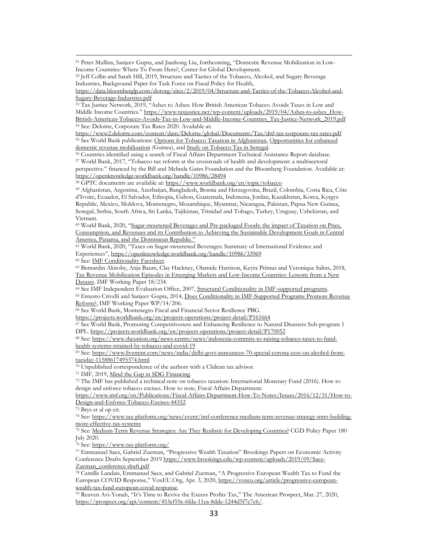<sup>51</sup> Peter Mullins, Sanjeev Gupta, and Jianhong Liu, forthcoming, "Domestic Revenue Mobilization in Low-Income Countries: Where To From Here?, Center for Global Development.

[https://data.bloomberglp.com/dotorg/sites/2/2019/04/Structure-and-Tactics-of-the-Tobacco-Alcohol-and-](https://data.bloomberglp.com/dotorg/sites/2/2019/04/Structure-and-Tactics-of-the-Tobacco-Alcohol-and-Sugary-Beverage-Industries.pdf)[Sugary-Beverage-Industries.pdf](https://data.bloomberglp.com/dotorg/sites/2/2019/04/Structure-and-Tactics-of-the-Tobacco-Alcohol-and-Sugary-Beverage-Industries.pdf)

<span id="page-34-2"></span><sup>53</sup> Tax Justice Network, 2019, "Ashes to Ashes: How British American Tobacco Avoids Taxes in Low and Middle Income Countries." [https://www.taxjustice.net/wp-content/uploads/2019/04/Ashes-to-ashes\\_How-](https://www.taxjustice.net/wp-content/uploads/2019/04/Ashes-to-ashes_How-British-American-Tobacco-Avoids-Tax-in-Low-and-Middle-Income-Countries_Tax-Justice-Network_2019.pdf)[British-American-Tobacco-Avoids-Tax-in-Low-and-Middle-Income-Countries\\_Tax-Justice-Network\\_2019.pdf](https://www.taxjustice.net/wp-content/uploads/2019/04/Ashes-to-ashes_How-British-American-Tobacco-Avoids-Tax-in-Low-and-Middle-Income-Countries_Tax-Justice-Network_2019.pdf) <sup>54</sup> See: Deloitte, Corporate Tax Rates 2020. Available at:

<span id="page-34-4"></span><span id="page-34-3"></span><https://www2.deloitte.com/content/dam/Deloitte/global/Documents/Tax/dttl-tax-corporate-tax-rates.pdf> <sup>55</sup> See World Bank publications: [Options for Tobacco Taxation in Afghanistan,](https://openknowledge.worldbank.org/handle/10986/32070?show=full) [Opportunities for enhanced](https://openknowledge.worldbank.org/handle/10986/32023)  [domestic revenue mobilization](https://openknowledge.worldbank.org/handle/10986/32023) (Guinea), an[d Study on Tobacco Tax in Senegal.](https://openknowledge.worldbank.org/bitstream/handle/10986/29270/122926-repl.pdf?sequence=1&isAllowed=y)

<span id="page-34-6"></span><span id="page-34-5"></span><sup>56</sup> Countries identified using a search of Fiscal Affairs Department Technical Assistance Report database. 57 World Bank, 2017, "Tobacco tax reform at the crossroads of health and development: a multisectoral perspective." financed by the Bill and Melinda Gates Foundation and the Bloomberg Foundation. Available at: <https://openknowledge.worldbank.org/handle/10986/28494>

<span id="page-34-7"></span><sup>58</sup> GPTC documents are available at:<https://www.worldbank.org/en/topic/tobacco>

<span id="page-34-8"></span><sup>59</sup> Afghanistan, Argentina, Azerbaijan, Bangladesh, Bosnia and Herzegovina, Brazil, Colombia, Costa Rica, Côte d'Ivoire, Ecuador, El Salvador, Ethiopia, Gabon, Guatemala, Indonesia, Jordan, Kazakhstan, Korea, Kyrgyz Republic, Mexico, Moldova, Montenegro, Mozambique, Myanmar, Nicaragua, Pakistan, Papua New Guinea, Senegal, Serbia, South Africa, Sri Lanka, Tajikistan, Trinidad and Tobago, Turkey, Uruguay, Uzbekistan, and Vietnam.

<span id="page-34-9"></span><sup>60</sup> World Bank, 2020, ["Sugar-sweetened Beverages and Pre-packaged Foods: the impact of Taxation on Price,](http://pubdocs.worldbank.org/en/611961599658512658/TF0A4082-Full-reportSugarSweetDrinksEnglish-Final-2020-1.pdf)  [Consumption, and Revenues and its Contribution to Achieving the Sustainable Development Goals in Central](http://pubdocs.worldbank.org/en/611961599658512658/TF0A4082-Full-reportSugarSweetDrinksEnglish-Final-2020-1.pdf)  [America, Panama, and the Dominican Republic."](http://pubdocs.worldbank.org/en/611961599658512658/TF0A4082-Full-reportSugarSweetDrinksEnglish-Final-2020-1.pdf)

<span id="page-34-10"></span><sup>61</sup> World Bank, 2020, "Taxes on Sugar-sweetened Beverages: Summary of International Evidence and Experiences",<https://openknowledge.worldbank.org/handle/10986/33969>

<sup>62</sup> See: [IMF Conditionality Factsheet.](https://www.imf.org/en/About/Factsheets/Sheets/2016/08/02/21/28/IMF-Conditionality)

<span id="page-34-12"></span><span id="page-34-11"></span><sup>63</sup> Bernardin Akitoby, Anja Baum, Clay Hackney, Olamide Harrison, Keyra Primus and Veronique Salins, 2018, [Tax Revenue Mobilization Episodes in Emerging Markets and Low-Income Countries: Lessons from a New](https://www.imf.org/en/Publications/WP/Issues/2018/11/02/Tax-Revenue-Mobilization-Episodes-in-Emerging-Markets-and-Low-Income-Countries-Lessons-from-45932)  [Dataset.](https://www.imf.org/en/Publications/WP/Issues/2018/11/02/Tax-Revenue-Mobilization-Episodes-in-Emerging-Markets-and-Low-Income-Countries-Lessons-from-45932) IMF Working Paper 18/234.

<span id="page-34-14"></span><span id="page-34-13"></span>64 See IMF Independent Evaluation Office, 2007, [Structural Conditionality in IMF-supported programs.](https://ieo.imf.org/en/our-work/Evaluations/Completed/2008-0103-structural-conditionality-in-imf-supported-programs) <sup>65</sup> Ernesto Crivelli and Sanjeev Gupta, 2014, [Does Conditionality in IMF-Supported Programs Promote Revenue](https://www.imf.org/en/Publications/WP/Issues/2016/12/31/Does-conditionality-in-IMF-supported-programs-promote-revenue-reform-42456)  [Reform?,](https://www.imf.org/en/Publications/WP/Issues/2016/12/31/Does-conditionality-in-IMF-supported-programs-promote-revenue-reform-42456) IMF Working Paper WP/14/206.

<sup>66</sup> See World Bank, Montenegro Fiscal and Financial Sector Resilience PBG.

<span id="page-34-15"></span><https://projects.worldbank.org/en/projects-operations/project-detail/P161664>

<span id="page-34-16"></span><sup>67</sup> See World Bank, Promoting Competitiveness and Enhancing Resilience to Natural Disasters Sub-program 1 DPL[. https://projects.worldbank.org/en/projects-operations/project-detail/P170052](https://projects.worldbank.org/en/projects-operations/project-detail/P170052)

<span id="page-34-17"></span><sup>68</sup> See: [https://www.theunion.org/news-centre/news/indonesia-commits-to-raising-tobacco-taxes-to-fund](https://www.theunion.org/news-centre/news/indonesia-commits-to-raising-tobacco-taxes-to-fund-health-systems-strained-by-tobacco-and-covid-19)[health-systems-strained-by-tobacco-and-covid-19](https://www.theunion.org/news-centre/news/indonesia-commits-to-raising-tobacco-taxes-to-fund-health-systems-strained-by-tobacco-and-covid-19)

<span id="page-34-18"></span><sup>69</sup> See: [https://www.livemint.com/news/india/delhi-govt-announces-70-special-corona-cess-on-alcohol-from](https://www.livemint.com/news/india/delhi-govt-announces-70-special-corona-cess-on-alcohol-from-tuesday-11588617495374.html)[tuesday-11588617495374.html](https://www.livemint.com/news/india/delhi-govt-announces-70-special-corona-cess-on-alcohol-from-tuesday-11588617495374.html)

<span id="page-34-19"></span><sup>70</sup> Unpublished correspondence of the authors with a Chilean tax advisor.

<span id="page-34-21"></span><span id="page-34-20"></span><sup>71</sup> IMF, 2019, <u>Mind the Gap in SDG Financing</u>.<br><sup>72</sup> The IMF has published a technical note on tobacco taxation: International Monetary Fund (2016). How to design and enforce tobacco excises. How to note, Fiscal Affairs Department.

[https://www.imf.org/en/Publications/Fiscal-Affairs-Department-How-To-Notes/Issues/2016/12/31/How-to-](https://www.imf.org/en/Publications/Fiscal-Affairs-Department-How-To-Notes/Issues/2016/12/31/How-to-Design-and-Enforce-Tobacco-Excises-44352)[Design-and-Enforce-Tobacco-Excises-44352](https://www.imf.org/en/Publications/Fiscal-Affairs-Department-How-To-Notes/Issues/2016/12/31/How-to-Design-and-Enforce-Tobacco-Excises-44352)

<span id="page-34-22"></span><sup>73</sup> Brys et al op cit.

<span id="page-34-23"></span><sup>74</sup> See: [https://www.tax-platform.org/news/event/imf-conference-medium-term-revenue-strategy-mtrs-building](https://www.tax-platform.org/news/event/imf-conference-medium-term-revenue-strategy-mtrs-building-more-effective-tax-systems)[more-effective-tax-systems](https://www.tax-platform.org/news/event/imf-conference-medium-term-revenue-strategy-mtrs-building-more-effective-tax-systems)

<span id="page-34-24"></span><sup>75</sup> See: [Medium-Term Revenue Strategies: Are They Realistic for Developing Countries?](https://www.cgdev.org/sites/default/files/medium-term-revenue-strategies-are-they-realistic-developing-countries.pdf) CGD Policy Paper 180 July 2020.

<span id="page-34-25"></span><sup>76</sup> See:<https://www.tax-platform.org/>

<span id="page-34-26"></span><sup>77</sup> Emmanuel Saez, Gabriel Zucman, "Progressive Wealth Taxation" Brookings Papers on Economic Activity Conference Drafts September 2019 [https://www.brookings.edu/wp-content/uploads/2019/09/Saez-](https://www.brookings.edu/wp-content/uploads/2019/09/Saez-Zucman_conference-draft.pdf)[Zucman\\_conference-draft.pdf](https://www.brookings.edu/wp-content/uploads/2019/09/Saez-Zucman_conference-draft.pdf)

<span id="page-34-27"></span><sup>78</sup> Camille Landais, Emmanuel Saez, and Gabriel Zucman, "A Progressive European Wealth Tax to Fund the European COVID Response," VoxEU.Org, Apr. 3, 2020[, https://voxeu.org/article/progressive-european](https://voxeu.org/article/progressive-european-wealth-tax-fund-european-covid-response)[wealth-tax-fund-european-covid-response.](https://voxeu.org/article/progressive-european-wealth-tax-fund-european-covid-response)

<span id="page-34-28"></span><sup>79</sup> Reuven Avi-Yonah, "It's Time to Revive the Excess Profits Tax," The American Prospect, Mar. 27, 2020, [https://prospect.org/api/content/453ef10e-6fda-11ea-8ddc-1244d5f7c7c6/.](https://prospect.org/api/content/453ef10e-6fda-11ea-8ddc-1244d5f7c7c6/)

<span id="page-34-1"></span><span id="page-34-0"></span><sup>52</sup> Jeff Collin and Sarah Hill, 2019, Structure and Tactics of the Tobacco, Alcohol, and Sugary Beverage Industries, Background Paper for Task Force on Fiscal Policy for Health,